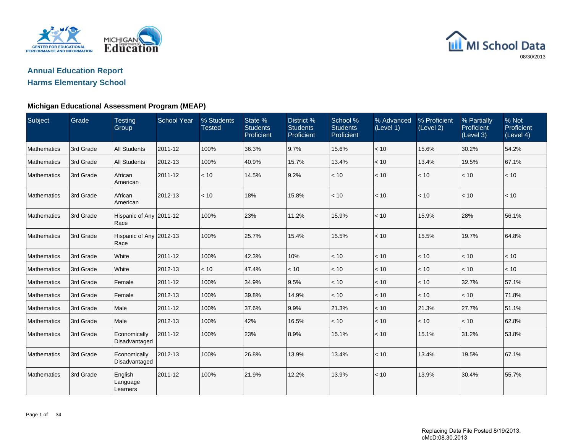

## **Annual Education ReportHarms Elementary School**

## **Michigan Educational Assessment Program (MEAP)**

| Subject            | Grade     | Testing<br>Group                | <b>School Year</b> | % Students<br>Tested | State %<br><b>Students</b><br>Proficient | District %<br><b>Students</b><br>Proficient | School %<br><b>Students</b><br>Proficient | % Advanced<br>(Level 1) | % Proficient<br>(Level 2) | % Partially<br>Proficient<br>(Level 3) | % Not<br>Proficient<br>(Level 4) |
|--------------------|-----------|---------------------------------|--------------------|----------------------|------------------------------------------|---------------------------------------------|-------------------------------------------|-------------------------|---------------------------|----------------------------------------|----------------------------------|
| Mathematics        | 3rd Grade | <b>All Students</b>             | 2011-12            | 100%                 | 36.3%                                    | 9.7%                                        | 15.6%                                     | < 10                    | 15.6%                     | 30.2%                                  | 54.2%                            |
| Mathematics        | 3rd Grade | <b>All Students</b>             | 2012-13            | 100%                 | 40.9%                                    | 15.7%                                       | 13.4%                                     | < 10                    | 13.4%                     | 19.5%                                  | 67.1%                            |
| Mathematics        | 3rd Grade | African<br>American             | 2011-12            | < 10                 | 14.5%                                    | 9.2%                                        | < 10                                      | < 10                    | < 10                      | $<10$                                  | < 10                             |
| Mathematics        | 3rd Grade | African<br>American             | 2012-13            | < 10                 | 18%                                      | 15.8%                                       | < 10                                      | < 10                    | < 10                      | < 10                                   | < 10                             |
| Mathematics        | 3rd Grade | Hispanic of Any 2011-12<br>Race |                    | 100%                 | 23%                                      | 11.2%                                       | 15.9%                                     | < 10                    | 15.9%                     | 28%                                    | 56.1%                            |
| Mathematics        | 3rd Grade | Hispanic of Any 2012-13<br>Race |                    | 100%                 | 25.7%                                    | 15.4%                                       | 15.5%                                     | < 10                    | 15.5%                     | 19.7%                                  | 64.8%                            |
| Mathematics        | 3rd Grade | White                           | 2011-12            | 100%                 | 42.3%                                    | 10%                                         | < 10                                      | < 10                    | < 10                      | < 10                                   | < 10                             |
| Mathematics        | 3rd Grade | White                           | 2012-13            | < 10                 | 47.4%                                    | < 10                                        | < 10                                      | < 10                    | < 10                      | < 10                                   | < 10                             |
| Mathematics        | 3rd Grade | Female                          | 2011-12            | 100%                 | 34.9%                                    | 9.5%                                        | < 10                                      | < 10                    | $<10$                     | 32.7%                                  | 57.1%                            |
| <b>Mathematics</b> | 3rd Grade | Female                          | 2012-13            | 100%                 | 39.8%                                    | 14.9%                                       | < 10                                      | < 10                    | < 10                      | < 10                                   | 71.8%                            |
| <b>Mathematics</b> | 3rd Grade | Male                            | 2011-12            | 100%                 | 37.6%                                    | 9.9%                                        | 21.3%                                     | < 10                    | 21.3%                     | 27.7%                                  | 51.1%                            |
| <b>Mathematics</b> | 3rd Grade | Male                            | 2012-13            | 100%                 | 42%                                      | 16.5%                                       | < 10                                      | < 10                    | < 10                      | < 10                                   | 62.8%                            |
| <b>Mathematics</b> | 3rd Grade | Economically<br>Disadvantaged   | 2011-12            | 100%                 | 23%                                      | 8.9%                                        | 15.1%                                     | < 10                    | 15.1%                     | 31.2%                                  | 53.8%                            |
| Mathematics        | 3rd Grade | Economically<br>Disadvantaged   | 2012-13            | 100%                 | 26.8%                                    | 13.9%                                       | 13.4%                                     | < 10                    | 13.4%                     | 19.5%                                  | 67.1%                            |
| Mathematics        | 3rd Grade | English<br>Language<br>Learners | 2011-12            | 100%                 | 21.9%                                    | 12.2%                                       | 13.9%                                     | < 10                    | 13.9%                     | 30.4%                                  | 55.7%                            |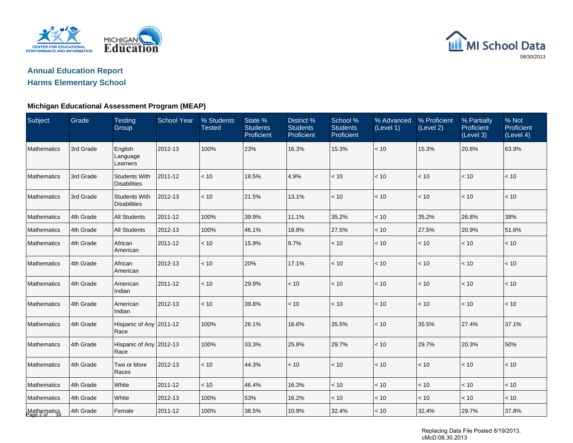



### **Michigan Educational Assessment Program (MEAP)**

| Subject                     | Grade     | <b>Testing</b><br>Group                     | School Year | % Students<br><b>Tested</b> | State %<br><b>Students</b><br>Proficient | District %<br><b>Students</b><br>Proficient | School %<br><b>Students</b><br>Proficient | % Advanced<br>(Level 1) | % Proficient<br>(Level 2) | % Partially<br>Proficient<br>(Level 3) | % Not<br>Proficient<br>(Level 4) |
|-----------------------------|-----------|---------------------------------------------|-------------|-----------------------------|------------------------------------------|---------------------------------------------|-------------------------------------------|-------------------------|---------------------------|----------------------------------------|----------------------------------|
| <b>Mathematics</b>          | 3rd Grade | English<br>Language<br>Learners             | 2012-13     | 100%                        | 23%                                      | 16.3%                                       | 15.3%                                     | < 10                    | 15.3%                     | 20.8%                                  | 63.9%                            |
| Mathematics                 | 3rd Grade | <b>Students With</b><br><b>Disabilities</b> | 2011-12     | < 10                        | 18.5%                                    | 4.9%                                        | < 10                                      | < 10                    | < 10                      | < 10                                   | < 10                             |
| Mathematics                 | 3rd Grade | <b>Students With</b><br><b>Disabilities</b> | 2012-13     | < 10                        | 21.5%                                    | 13.1%                                       | < 10                                      | < 10                    | < 10                      | < 10                                   | < 10                             |
| Mathematics                 | 4th Grade | <b>All Students</b>                         | 2011-12     | 100%                        | 39.9%                                    | 11.1%                                       | 35.2%                                     | < 10                    | 35.2%                     | 26.8%                                  | 38%                              |
| Mathematics                 | 4th Grade | <b>All Students</b>                         | 2012-13     | 100%                        | 46.1%                                    | 18.8%                                       | 27.5%                                     | < 10                    | 27.5%                     | 20.9%                                  | 51.6%                            |
| <b>Mathematics</b>          | 4th Grade | African<br>American                         | 2011-12     | < 10                        | 15.9%                                    | 9.7%                                        | < 10                                      | < 10                    | < 10                      | < 10                                   | < 10                             |
| Mathematics                 | 4th Grade | African<br>American                         | 2012-13     | $<10$                       | 20%                                      | 17.1%                                       | $<10$                                     | < 10                    | $<10$                     | $<10$                                  | $<10$                            |
| Mathematics                 | 4th Grade | American<br>Indian                          | 2011-12     | < 10                        | 29.9%                                    | < 10                                        | < 10                                      | < 10                    | < 10                      | < 10                                   | $<10$                            |
| <b>Mathematics</b>          | 4th Grade | American<br>Indian                          | 2012-13     | < 10                        | 39.8%                                    | < 10                                        | < 10                                      | < 10                    | $<10$                     | < 10                                   | < 10                             |
| <b>Mathematics</b>          | 4th Grade | Hispanic of Any 2011-12<br>Race             |             | 100%                        | 26.1%                                    | 16.6%                                       | 35.5%                                     | < 10                    | 35.5%                     | 27.4%                                  | 37.1%                            |
| Mathematics                 | 4th Grade | Hispanic of Any 2012-13<br>Race             |             | 100%                        | 33.3%                                    | 25.8%                                       | 29.7%                                     | < 10                    | 29.7%                     | 20.3%                                  | 50%                              |
| <b>Mathematics</b>          | 4th Grade | Two or More<br>Races                        | 2012-13     | < 10                        | 44.3%                                    | < 10                                        | < 10                                      | < 10                    | < 10                      | < 10                                   | < 10                             |
| Mathematics                 | 4th Grade | White                                       | 2011-12     | < 10                        | 46.4%                                    | 16.3%                                       | $<10$                                     | < 10                    | $<10$                     | $<10$                                  | < 10                             |
| Mathematics                 | 4th Grade | White                                       | 2012-13     | 100%                        | 53%                                      | 16.2%                                       | < 10                                      | < 10                    | < 10                      | < 10                                   | < 10                             |
| Mathematics<br>Page 2 of 34 | 4th Grade | Female                                      | 2011-12     | 100%                        | 38.5%                                    | 10.9%                                       | 32.4%                                     | < 10                    | 32.4%                     | 29.7%                                  | 37.8%                            |

Replacing Data File Posted 8/19/2013. cMcD:08.30.2013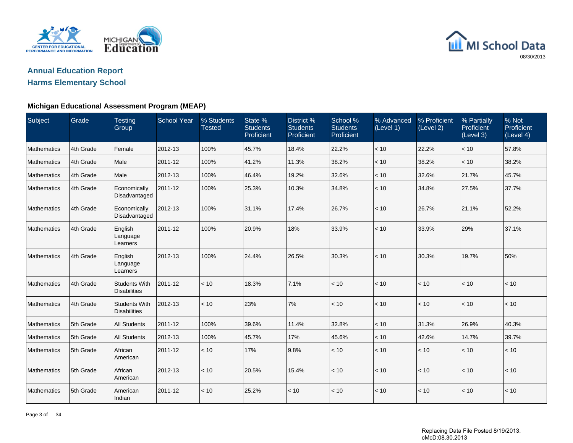

## **Annual Education ReportHarms Elementary School**

## **Michigan Educational Assessment Program (MEAP)**

| Subject     | Grade     | <b>Testing</b><br>Group                     | <b>School Year</b> | % Students<br><b>Tested</b> | State %<br><b>Students</b><br>Proficient | District %<br><b>Students</b><br>Proficient | School %<br><b>Students</b><br>Proficient | % Advanced<br>(Level 1) | % Proficient<br>(Level 2) | % Partially<br>Proficient<br>(Level 3) | % Not<br>Proficient<br>(Level 4) |
|-------------|-----------|---------------------------------------------|--------------------|-----------------------------|------------------------------------------|---------------------------------------------|-------------------------------------------|-------------------------|---------------------------|----------------------------------------|----------------------------------|
| Mathematics | 4th Grade | Female                                      | 2012-13            | 100%                        | 45.7%                                    | 18.4%                                       | 22.2%                                     | $<10$                   | 22.2%                     | < 10                                   | 57.8%                            |
| Mathematics | 4th Grade | Male                                        | 2011-12            | 100%                        | 41.2%                                    | 11.3%                                       | 38.2%                                     | < 10                    | 38.2%                     | $<10$                                  | 38.2%                            |
| Mathematics | 4th Grade | Male                                        | 2012-13            | 100%                        | 46.4%                                    | 19.2%                                       | 32.6%                                     | $<10$                   | 32.6%                     | 21.7%                                  | 45.7%                            |
| Mathematics | 4th Grade | Economically<br>Disadvantaged               | 2011-12            | 100%                        | 25.3%                                    | 10.3%                                       | 34.8%                                     | < 10                    | 34.8%                     | 27.5%                                  | 37.7%                            |
| Mathematics | 4th Grade | Economically<br>Disadvantaged               | 2012-13            | 100%                        | 31.1%                                    | 17.4%                                       | 26.7%                                     | < 10                    | 26.7%                     | 21.1%                                  | 52.2%                            |
| Mathematics | 4th Grade | English<br>Language<br>Learners             | 2011-12            | 100%                        | 20.9%                                    | 18%                                         | 33.9%                                     | < 10                    | 33.9%                     | 29%                                    | 37.1%                            |
| Mathematics | 4th Grade | English<br>Language<br>Learners             | 2012-13            | 100%                        | 24.4%                                    | 26.5%                                       | 30.3%                                     | < 10                    | 30.3%                     | 19.7%                                  | 50%                              |
| Mathematics | 4th Grade | <b>Students With</b><br><b>Disabilities</b> | 2011-12            | < 10                        | 18.3%                                    | 7.1%                                        | < 10                                      | < 10                    | < 10                      | < 10                                   | < 10                             |
| Mathematics | 4th Grade | <b>Students With</b><br><b>Disabilities</b> | 2012-13            | < 10                        | 23%                                      | 7%                                          | < 10                                      | < 10                    | < 10                      | < 10                                   | < 10                             |
| Mathematics | 5th Grade | <b>All Students</b>                         | 2011-12            | 100%                        | 39.6%                                    | 11.4%                                       | 32.8%                                     | < 10                    | 31.3%                     | 26.9%                                  | 40.3%                            |
| Mathematics | 5th Grade | <b>All Students</b>                         | 2012-13            | 100%                        | 45.7%                                    | 17%                                         | 45.6%                                     | < 10                    | 42.6%                     | 14.7%                                  | 39.7%                            |
| Mathematics | 5th Grade | African<br>American                         | 2011-12            | < 10                        | 17%                                      | 9.8%                                        | < 10                                      | < 10                    | < 10                      | < 10                                   | < 10                             |
| Mathematics | 5th Grade | African<br>American                         | 2012-13            | < 10                        | 20.5%                                    | 15.4%                                       | < 10                                      | < 10                    | < 10                      | < 10                                   | < 10                             |
| Mathematics | 5th Grade | American<br>Indian                          | 2011-12            | < 10                        | 25.2%                                    | < 10                                        | < 10                                      | < 10                    | < 10                      | < 10                                   | < 10                             |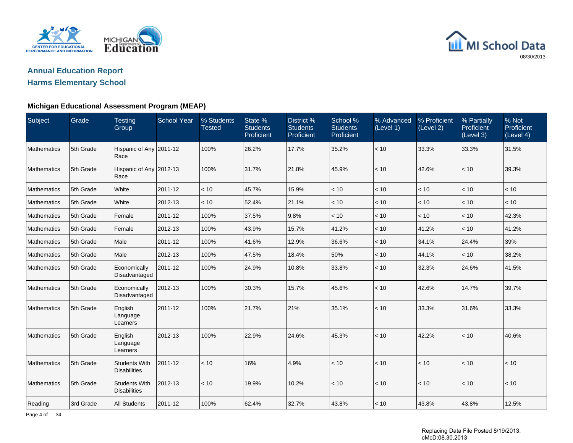

## **Annual Education ReportHarms Elementary School**

#### **Michigan Educational Assessment Program (MEAP)**

| Subject            | Grade     | <b>Testing</b><br>Group                     | <b>School Year</b> | % Students<br><b>Tested</b> | State %<br><b>Students</b><br>Proficient | District %<br><b>Students</b><br>Proficient | School %<br><b>Students</b><br>Proficient | % Advanced<br>(Level 1) | % Proficient<br>(Level 2) | % Partially<br>Proficient<br>(Level 3) | % Not<br>Proficient<br>(Level 4) |
|--------------------|-----------|---------------------------------------------|--------------------|-----------------------------|------------------------------------------|---------------------------------------------|-------------------------------------------|-------------------------|---------------------------|----------------------------------------|----------------------------------|
| Mathematics        | 5th Grade | Hispanic of Any 2011-12<br>Race             |                    | 100%                        | 26.2%                                    | 17.7%                                       | 35.2%                                     | $<10$                   | 33.3%                     | 33.3%                                  | 31.5%                            |
| Mathematics        | 5th Grade | Hispanic of Any 2012-13<br>Race             |                    | 100%                        | 31.7%                                    | 21.8%                                       | 45.9%                                     | < 10                    | 42.6%                     | < 10                                   | 39.3%                            |
| Mathematics        | 5th Grade | White                                       | 2011-12            | < 10                        | 45.7%                                    | 15.9%                                       | < 10                                      | < 10                    | < 10                      | < 10                                   | < 10                             |
| Mathematics        | 5th Grade | White                                       | 2012-13            | < 10                        | 52.4%                                    | 21.1%                                       | < 10                                      | < 10                    | < 10                      | < 10                                   | < 10                             |
| <b>Mathematics</b> | 5th Grade | Female                                      | 2011-12            | 100%                        | 37.5%                                    | 9.8%                                        | $<10$                                     | $<10$                   | < 10                      | < 10                                   | 42.3%                            |
| <b>Mathematics</b> | 5th Grade | Female                                      | 2012-13            | 100%                        | 43.9%                                    | 15.7%                                       | 41.2%                                     | < 10                    | 41.2%                     | < 10                                   | 41.2%                            |
| Mathematics        | 5th Grade | Male                                        | 2011-12            | 100%                        | 41.6%                                    | 12.9%                                       | 36.6%                                     | < 10                    | 34.1%                     | 24.4%                                  | 39%                              |
| Mathematics        | 5th Grade | Male                                        | 2012-13            | 100%                        | 47.5%                                    | 18.4%                                       | 50%                                       | < 10                    | 44.1%                     | < 10                                   | 38.2%                            |
| <b>Mathematics</b> | 5th Grade | Economically<br>Disadvantaged               | 2011-12            | 100%                        | 24.9%                                    | 10.8%                                       | 33.8%                                     | < 10                    | 32.3%                     | 24.6%                                  | 41.5%                            |
| Mathematics        | 5th Grade | Economically<br>Disadvantaged               | 2012-13            | 100%                        | 30.3%                                    | 15.7%                                       | 45.6%                                     | < 10                    | 42.6%                     | 14.7%                                  | 39.7%                            |
| Mathematics        | 5th Grade | English<br>Language<br>Learners             | 2011-12            | 100%                        | 21.7%                                    | 21%                                         | 35.1%                                     | < 10                    | 33.3%                     | 31.6%                                  | 33.3%                            |
| Mathematics        | 5th Grade | English<br>Language<br>Learners             | 2012-13            | 100%                        | 22.9%                                    | 24.6%                                       | 45.3%                                     | < 10                    | 42.2%                     | < 10                                   | 40.6%                            |
| <b>Mathematics</b> | 5th Grade | <b>Students With</b><br><b>Disabilities</b> | 2011-12            | < 10                        | 16%                                      | 4.9%                                        | $<10$                                     | < 10                    | < 10                      | < 10                                   | $<10$                            |
| Mathematics        | 5th Grade | <b>Students With</b><br><b>Disabilities</b> | 2012-13            | < 10                        | 19.9%                                    | 10.2%                                       | < 10                                      | < 10                    | $<10$                     | < 10                                   | < 10                             |
| Reading            | 3rd Grade | All Students                                | 2011-12            | 100%                        | 62.4%                                    | 32.7%                                       | 43.8%                                     | < 10                    | 43.8%                     | 43.8%                                  | 12.5%                            |

Page 4 of 34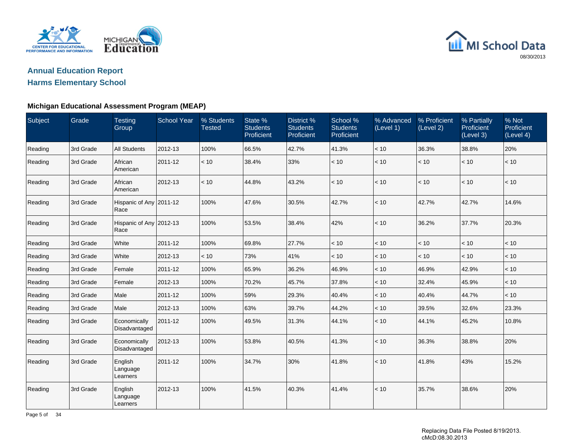

## **Annual Education ReportHarms Elementary School**

## **Michigan Educational Assessment Program (MEAP)**

| Subject | Grade     | <b>Testing</b><br>Group         | <b>School Year</b> | % Students<br><b>Tested</b> | State %<br><b>Students</b><br>Proficient | District %<br><b>Students</b><br>Proficient | School %<br><b>Students</b><br>Proficient | % Advanced<br>(Level 1) | % Proficient<br>(Level 2) | % Partially<br>Proficient<br>(Level 3) | % Not<br>Proficient<br>(Level 4) |
|---------|-----------|---------------------------------|--------------------|-----------------------------|------------------------------------------|---------------------------------------------|-------------------------------------------|-------------------------|---------------------------|----------------------------------------|----------------------------------|
| Reading | 3rd Grade | <b>All Students</b>             | 2012-13            | 100%                        | 66.5%                                    | 42.7%                                       | 41.3%                                     | < 10                    | 36.3%                     | 38.8%                                  | 20%                              |
| Reading | 3rd Grade | African<br>American             | 2011-12            | < 10                        | 38.4%                                    | 33%                                         | < 10                                      | < 10                    | < 10                      | < 10                                   | < 10                             |
| Reading | 3rd Grade | African<br>American             | 2012-13            | < 10                        | 44.8%                                    | 43.2%                                       | < 10                                      | < 10                    | < 10                      | < 10                                   | < 10                             |
| Reading | 3rd Grade | Hispanic of Any 2011-12<br>Race |                    | 100%                        | 47.6%                                    | 30.5%                                       | 42.7%                                     | < 10                    | 42.7%                     | 42.7%                                  | 14.6%                            |
| Reading | 3rd Grade | Hispanic of Any 2012-13<br>Race |                    | 100%                        | 53.5%                                    | 38.4%                                       | 42%                                       | $<10$                   | 36.2%                     | 37.7%                                  | 20.3%                            |
| Reading | 3rd Grade | White                           | 2011-12            | 100%                        | 69.8%                                    | 27.7%                                       | < 10                                      | < 10                    | < 10                      | < 10                                   | < 10                             |
| Reading | 3rd Grade | White                           | 2012-13            | < 10                        | 73%                                      | 41%                                         | < 10                                      | < 10                    | < 10                      | < 10                                   | < 10                             |
| Reading | 3rd Grade | Female                          | 2011-12            | 100%                        | 65.9%                                    | 36.2%                                       | 46.9%                                     | < 10                    | 46.9%                     | 42.9%                                  | < 10                             |
| Reading | 3rd Grade | Female                          | 2012-13            | 100%                        | 70.2%                                    | 45.7%                                       | 37.8%                                     | < 10                    | 32.4%                     | 45.9%                                  | < 10                             |
| Reading | 3rd Grade | Male                            | 2011-12            | 100%                        | 59%                                      | 29.3%                                       | 40.4%                                     | $<10$                   | 40.4%                     | 44.7%                                  | < 10                             |
| Reading | 3rd Grade | Male                            | 2012-13            | 100%                        | 63%                                      | 39.7%                                       | 44.2%                                     | < 10                    | 39.5%                     | 32.6%                                  | 23.3%                            |
| Reading | 3rd Grade | Economically<br>Disadvantaged   | 2011-12            | 100%                        | 49.5%                                    | 31.3%                                       | 44.1%                                     | < 10                    | 44.1%                     | 45.2%                                  | 10.8%                            |
| Reading | 3rd Grade | Economically<br>Disadvantaged   | 2012-13            | 100%                        | 53.8%                                    | 40.5%                                       | 41.3%                                     | < 10                    | 36.3%                     | 38.8%                                  | 20%                              |
| Reading | 3rd Grade | English<br>Language<br>Learners | 2011-12            | 100%                        | 34.7%                                    | 30%                                         | 41.8%                                     | < 10                    | 41.8%                     | 43%                                    | 15.2%                            |
| Reading | 3rd Grade | English<br>Language<br>Learners | 2012-13            | 100%                        | 41.5%                                    | 40.3%                                       | 41.4%                                     | < 10                    | 35.7%                     | 38.6%                                  | 20%                              |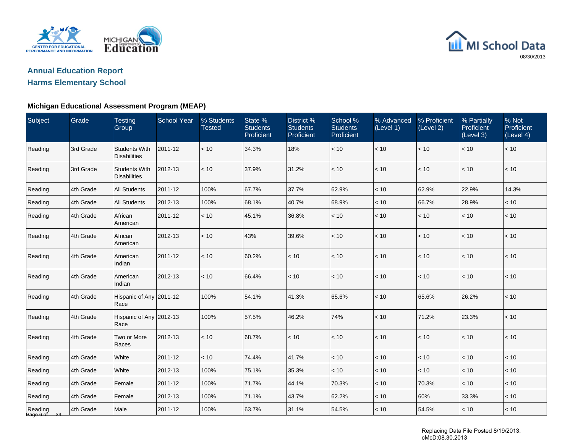

## **Annual Education ReportHarms Elementary School**

### **Michigan Educational Assessment Program (MEAP)**

| Subject                 | Grade     | <b>Testing</b><br>Group                     | <b>School Year</b> | % Students<br><b>Tested</b> | State %<br><b>Students</b><br>Proficient | District %<br><b>Students</b><br>Proficient | School %<br><b>Students</b><br>Proficient | % Advanced<br>(Level 1) | % Proficient<br>(Level 2) | % Partially<br>Proficient<br>(Level 3) | % Not<br>Proficient<br>(Level 4) |
|-------------------------|-----------|---------------------------------------------|--------------------|-----------------------------|------------------------------------------|---------------------------------------------|-------------------------------------------|-------------------------|---------------------------|----------------------------------------|----------------------------------|
| Reading                 | 3rd Grade | <b>Students With</b><br><b>Disabilities</b> | 2011-12            | $<10$                       | 34.3%                                    | 18%                                         | $<10$                                     | < 10                    | < 10                      | $<10$                                  | $<10$                            |
| Reading                 | 3rd Grade | <b>Students With</b><br><b>Disabilities</b> | 2012-13            | < 10                        | 37.9%                                    | 31.2%                                       | < 10                                      | < 10                    | < 10                      | < 10                                   | < 10                             |
| Reading                 | 4th Grade | All Students                                | 2011-12            | 100%                        | 67.7%                                    | 37.7%                                       | 62.9%                                     | < 10                    | 62.9%                     | 22.9%                                  | 14.3%                            |
| Reading                 | 4th Grade | <b>All Students</b>                         | 2012-13            | 100%                        | 68.1%                                    | 40.7%                                       | 68.9%                                     | < 10                    | 66.7%                     | 28.9%                                  | < 10                             |
| Reading                 | 4th Grade | African<br>American                         | 2011-12            | < 10                        | 45.1%                                    | 36.8%                                       | < 10                                      | < 10                    | < 10                      | < 10                                   | < 10                             |
| Reading                 | 4th Grade | African<br>American                         | 2012-13            | < 10                        | 43%                                      | 39.6%                                       | < 10                                      | < 10                    | < 10                      | < 10                                   | < 10                             |
| Reading                 | 4th Grade | American<br>Indian                          | 2011-12            | < 10                        | 60.2%                                    | < 10                                        | < 10                                      | < 10                    | $<10$                     | $<10$                                  | $<10$                            |
| Reading                 | 4th Grade | American<br>Indian                          | 2012-13            | < 10                        | 66.4%                                    | < 10                                        | < 10                                      | < 10                    | < 10                      | < 10                                   | < 10                             |
| Reading                 | 4th Grade | Hispanic of Any 2011-12<br>Race             |                    | 100%                        | 54.1%                                    | 41.3%                                       | 65.6%                                     | $<10$                   | 65.6%                     | 26.2%                                  | < 10                             |
| Reading                 | 4th Grade | Hispanic of Any 2012-13<br>Race             |                    | 100%                        | 57.5%                                    | 46.2%                                       | 74%                                       | < 10                    | 71.2%                     | 23.3%                                  | < 10                             |
| Reading                 | 4th Grade | Two or More<br>Races                        | 2012-13            | < 10                        | 68.7%                                    | < 10                                        | < 10                                      | < 10                    | < 10                      | < 10                                   | < 10                             |
| Reading                 | 4th Grade | White                                       | 2011-12            | < 10                        | 74.4%                                    | 41.7%                                       | < 10                                      | < 10                    | $<10$                     | < 10                                   | < 10                             |
| Reading                 | 4th Grade | White                                       | 2012-13            | 100%                        | 75.1%                                    | 35.3%                                       | < 10                                      | < 10                    | < 10                      | < 10                                   | < 10                             |
| Reading                 | 4th Grade | Female                                      | 2011-12            | 100%                        | 71.7%                                    | 44.1%                                       | 70.3%                                     | < 10                    | 70.3%                     | < 10                                   | < 10                             |
| Reading                 | 4th Grade | Female                                      | 2012-13            | 100%                        | 71.1%                                    | 43.7%                                       | 62.2%                                     | $<10$                   | 60%                       | 33.3%                                  | $<10$                            |
| Reading<br>Page 6 of 34 | 4th Grade | Male                                        | 2011-12            | 100%                        | 63.7%                                    | 31.1%                                       | 54.5%                                     | $<10$                   | 54.5%                     | < 10                                   | < 10                             |

Replacing Data File Posted 8/19/2013. cMcD:08.30.2013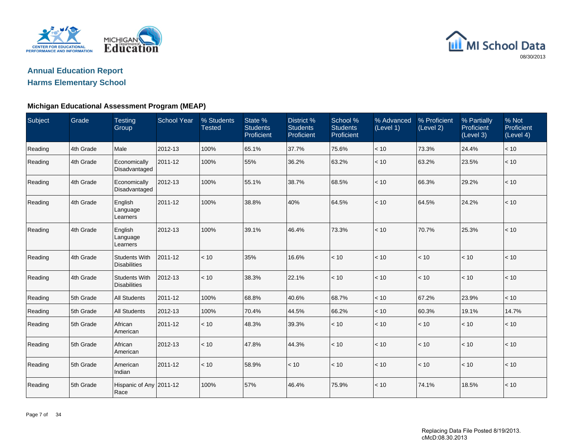

## **Annual Education ReportHarms Elementary School**

## **Michigan Educational Assessment Program (MEAP)**

| Subject | Grade     | <b>Testing</b><br>Group                     | <b>School Year</b> | % Students<br><b>Tested</b> | State %<br><b>Students</b><br>Proficient | District %<br><b>Students</b><br>Proficient | School %<br><b>Students</b><br>Proficient | % Advanced<br>(Level 1) | % Proficient<br>(Level 2) | % Partially<br>Proficient<br>(Level 3) | % Not<br>Proficient<br>(Level 4) |
|---------|-----------|---------------------------------------------|--------------------|-----------------------------|------------------------------------------|---------------------------------------------|-------------------------------------------|-------------------------|---------------------------|----------------------------------------|----------------------------------|
| Reading | 4th Grade | Male                                        | 2012-13            | 100%                        | 65.1%                                    | 37.7%                                       | 75.6%                                     | < 10                    | 73.3%                     | 24.4%                                  | < 10                             |
| Reading | 4th Grade | Economically<br>Disadvantaged               | 2011-12            | 100%                        | 55%                                      | 36.2%                                       | 63.2%                                     | < 10                    | 63.2%                     | 23.5%                                  | $<10$                            |
| Reading | 4th Grade | Economically<br>Disadvantaged               | 2012-13            | 100%                        | 55.1%                                    | 38.7%                                       | 68.5%                                     | < 10                    | 66.3%                     | 29.2%                                  | < 10                             |
| Reading | 4th Grade | English<br>Language<br>Learners             | 2011-12            | 100%                        | 38.8%                                    | 40%                                         | 64.5%                                     | < 10                    | 64.5%                     | 24.2%                                  | < 10                             |
| Reading | 4th Grade | English<br>Language<br>Learners             | 2012-13            | 100%                        | 39.1%                                    | 46.4%                                       | 73.3%                                     | < 10                    | 70.7%                     | 25.3%                                  | < 10                             |
| Reading | 4th Grade | <b>Students With</b><br><b>Disabilities</b> | 2011-12            | < 10                        | 35%                                      | 16.6%                                       | < 10                                      | < 10                    | < 10                      | < 10                                   | < 10                             |
| Reading | 4th Grade | <b>Students With</b><br><b>Disabilities</b> | 2012-13            | < 10                        | 38.3%                                    | 22.1%                                       | < 10                                      | < 10                    | < 10                      | < 10                                   | < 10                             |
| Reading | 5th Grade | <b>All Students</b>                         | 2011-12            | 100%                        | 68.8%                                    | 40.6%                                       | 68.7%                                     | < 10                    | 67.2%                     | 23.9%                                  | < 10                             |
| Reading | 5th Grade | <b>All Students</b>                         | 2012-13            | 100%                        | 70.4%                                    | 44.5%                                       | 66.2%                                     | < 10                    | 60.3%                     | 19.1%                                  | 14.7%                            |
| Reading | 5th Grade | African<br>American                         | 2011-12            | < 10                        | 48.3%                                    | 39.3%                                       | < 10                                      | < 10                    | < 10                      | < 10                                   | < 10                             |
| Reading | 5th Grade | African<br>American                         | 2012-13            | < 10                        | 47.8%                                    | 44.3%                                       | < 10                                      | < 10                    | < 10                      | $<10$                                  | $<10$                            |
| Reading | 5th Grade | American<br>Indian                          | 2011-12            | < 10                        | 58.9%                                    | < 10                                        | < 10                                      | < 10                    | < 10                      | < 10                                   | < 10                             |
| Reading | 5th Grade | Hispanic of Any 2011-12<br>Race             |                    | 100%                        | 57%                                      | 46.4%                                       | 75.9%                                     | < 10                    | 74.1%                     | 18.5%                                  | < 10                             |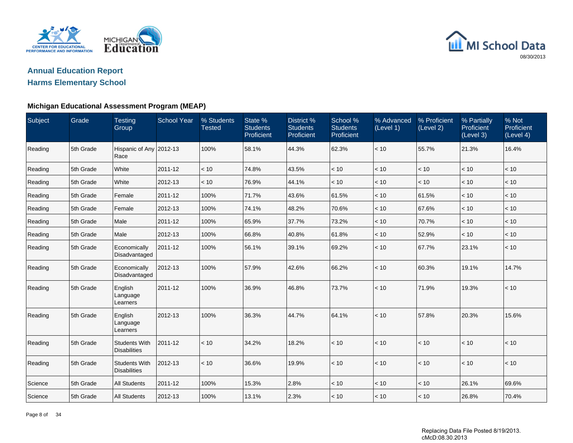

## **Annual Education ReportHarms Elementary School**

### **Michigan Educational Assessment Program (MEAP)**

| Subject | Grade     | <b>Testing</b><br>Group                     | <b>School Year</b> | % Students<br><b>Tested</b> | State %<br><b>Students</b><br>Proficient | District %<br><b>Students</b><br>Proficient | School %<br><b>Students</b><br>Proficient | % Advanced<br>(Level 1) | % Proficient<br>(Level 2) | % Partially<br>Proficient<br>(Level 3) | % Not<br>Proficient<br>(Level 4) |
|---------|-----------|---------------------------------------------|--------------------|-----------------------------|------------------------------------------|---------------------------------------------|-------------------------------------------|-------------------------|---------------------------|----------------------------------------|----------------------------------|
| Reading | 5th Grade | Hispanic of Any 2012-13<br>Race             |                    | 100%                        | 58.1%                                    | 44.3%                                       | 62.3%                                     | < 10                    | 55.7%                     | 21.3%                                  | 16.4%                            |
| Reading | 5th Grade | White                                       | 2011-12            | < 10                        | 74.8%                                    | 43.5%                                       | < 10                                      | < 10                    | < 10                      | < 10                                   | < 10                             |
| Reading | 5th Grade | White                                       | 2012-13            | < 10                        | 76.9%                                    | 44.1%                                       | $<10$                                     | < 10                    | < 10                      | $<10$                                  | < 10                             |
| Reading | 5th Grade | Female                                      | 2011-12            | 100%                        | 71.7%                                    | 43.6%                                       | 61.5%                                     | < 10                    | 61.5%                     | < 10                                   | < 10                             |
| Reading | 5th Grade | Female                                      | 2012-13            | 100%                        | 74.1%                                    | 48.2%                                       | 70.6%                                     | < 10                    | 67.6%                     | < 10                                   | < 10                             |
| Reading | 5th Grade | Male                                        | 2011-12            | 100%                        | 65.9%                                    | 37.7%                                       | 73.2%                                     | < 10                    | 70.7%                     | < 10                                   | < 10                             |
| Reading | 5th Grade | Male                                        | 2012-13            | 100%                        | 66.8%                                    | 40.8%                                       | 61.8%                                     | < 10                    | 52.9%                     | < 10                                   | < 10                             |
| Reading | 5th Grade | Economically<br>Disadvantaged               | 2011-12            | 100%                        | 56.1%                                    | 39.1%                                       | 69.2%                                     | < 10                    | 67.7%                     | 23.1%                                  | < 10                             |
| Reading | 5th Grade | Economically<br>Disadvantaged               | 2012-13            | 100%                        | 57.9%                                    | 42.6%                                       | 66.2%                                     | < 10                    | 60.3%                     | 19.1%                                  | 14.7%                            |
| Reading | 5th Grade | English<br>Language<br>Learners             | 2011-12            | 100%                        | 36.9%                                    | 46.8%                                       | 73.7%                                     | < 10                    | 71.9%                     | 19.3%                                  | < 10                             |
| Reading | 5th Grade | English<br>Language<br>Learners             | 2012-13            | 100%                        | 36.3%                                    | 44.7%                                       | 64.1%                                     | < 10                    | 57.8%                     | 20.3%                                  | 15.6%                            |
| Reading | 5th Grade | <b>Students With</b><br><b>Disabilities</b> | 2011-12            | < 10                        | 34.2%                                    | 18.2%                                       | < 10                                      | < 10                    | < 10                      | < 10                                   | < 10                             |
| Reading | 5th Grade | <b>Students With</b><br><b>Disabilities</b> | 2012-13            | < 10                        | 36.6%                                    | 19.9%                                       | < 10                                      | < 10                    | < 10                      | < 10                                   | < 10                             |
| Science | 5th Grade | <b>All Students</b>                         | 2011-12            | 100%                        | 15.3%                                    | 2.8%                                        | < 10                                      | < 10                    | < 10                      | 26.1%                                  | 69.6%                            |
| Science | 5th Grade | <b>All Students</b>                         | 2012-13            | 100%                        | 13.1%                                    | 2.3%                                        | < 10                                      | < 10                    | < 10                      | 26.8%                                  | 70.4%                            |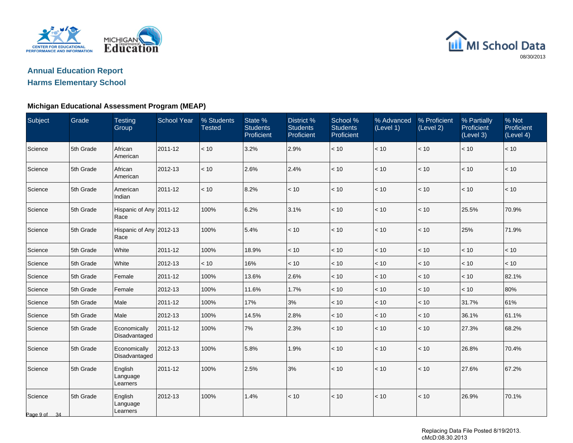



### **Michigan Educational Assessment Program (MEAP)**

| Subject                 | Grade     | <b>Testing</b><br>Group         | <b>School Year</b> | % Students<br><b>Tested</b> | State %<br><b>Students</b><br>Proficient | District %<br><b>Students</b><br>Proficient | School %<br><b>Students</b><br>Proficient | % Advanced<br>(Level 1) | % Proficient<br>(Level 2) | % Partially<br>Proficient<br>(Level 3) | % Not<br>Proficient<br>(Level 4) |
|-------------------------|-----------|---------------------------------|--------------------|-----------------------------|------------------------------------------|---------------------------------------------|-------------------------------------------|-------------------------|---------------------------|----------------------------------------|----------------------------------|
| Science                 | 5th Grade | African<br>American             | 2011-12            | < 10                        | 3.2%                                     | 2.9%                                        | < 10                                      | < 10                    | < 10                      | < 10                                   | < 10                             |
| Science                 | 5th Grade | African<br>American             | 2012-13            | < 10                        | 2.6%                                     | 2.4%                                        | < 10                                      | < 10                    | < 10                      | < 10                                   | < 10                             |
| Science                 | 5th Grade | American<br>Indian              | 2011-12            | < 10                        | 8.2%                                     | < 10                                        | < 10                                      | < 10                    | < 10                      | < 10                                   | < 10                             |
| Science                 | 5th Grade | Hispanic of Any 2011-12<br>Race |                    | 100%                        | 6.2%                                     | 3.1%                                        | < 10                                      | < 10                    | < 10                      | 25.5%                                  | 70.9%                            |
| Science                 | 5th Grade | Hispanic of Any 2012-13<br>Race |                    | 100%                        | 5.4%                                     | < 10                                        | < 10                                      | < 10                    | $<10$                     | 25%                                    | 71.9%                            |
| Science                 | 5th Grade | White                           | 2011-12            | 100%                        | 18.9%                                    | < 10                                        | < 10                                      | $<10$                   | $<10$                     | < 10                                   | < 10                             |
| Science                 | 5th Grade | White                           | 2012-13            | < 10                        | 16%                                      | < 10                                        | < 10                                      | < 10                    | < 10                      | < 10                                   | < 10                             |
| Science                 | 5th Grade | Female                          | 2011-12            | 100%                        | 13.6%                                    | 2.6%                                        | $<10$                                     | < 10                    | $<10$                     | < 10                                   | 82.1%                            |
| Science                 | 5th Grade | Female                          | 2012-13            | 100%                        | 11.6%                                    | 1.7%                                        | < 10                                      | $<10$                   | < 10                      | < 10                                   | 80%                              |
| Science                 | 5th Grade | Male                            | 2011-12            | 100%                        | 17%                                      | 3%                                          | < 10                                      | < 10                    | $<10$                     | 31.7%                                  | 61%                              |
| Science                 | 5th Grade | Male                            | 2012-13            | 100%                        | 14.5%                                    | 2.8%                                        | < 10                                      | < 10                    | < 10                      | 36.1%                                  | 61.1%                            |
| Science                 | 5th Grade | Economically<br>Disadvantaged   | 2011-12            | 100%                        | 7%                                       | 2.3%                                        | $<10$                                     | < 10                    | < 10                      | 27.3%                                  | 68.2%                            |
| Science                 | 5th Grade | Economically<br>Disadvantaged   | 2012-13            | 100%                        | 5.8%                                     | 1.9%                                        | < 10                                      | < 10                    | < 10                      | 26.8%                                  | 70.4%                            |
| Science                 | 5th Grade | English<br>Language<br>Learners | 2011-12            | 100%                        | 2.5%                                     | 3%                                          | $<10$                                     | < 10                    | < 10                      | 27.6%                                  | 67.2%                            |
| Science<br>Page 9 of 34 | 5th Grade | English<br>Language<br>Learners | 2012-13            | 100%                        | 1.4%                                     | < 10                                        | < 10                                      | < 10                    | < 10                      | 26.9%                                  | 70.1%                            |

Replacing Data File Posted 8/19/2013. cMcD:08.30.2013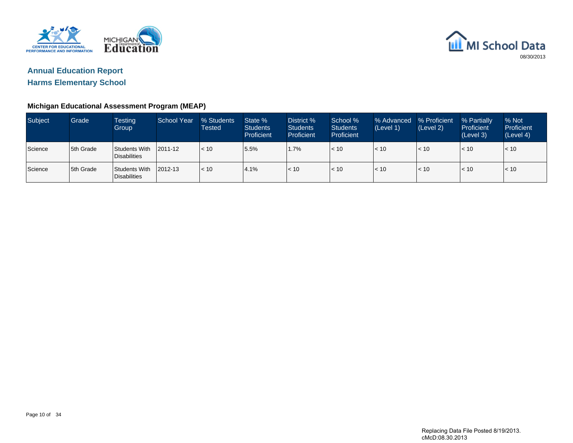



## **Michigan Educational Assessment Program (MEAP)**

| <b>Subject</b> | Grade      | <b>Testing</b><br>Group              | <b>School Year</b> | % Students<br>Tested | State %<br><b>Students</b><br><b>Proficient</b> | District %<br><b>Students</b><br>Proficient | School %<br><b>Students</b><br>Proficient | % Advanced<br>(Level 1) | % Proficient<br>(Level 2) | % Partially<br>Proficient<br>(Level 3) | % Not<br>Proficient<br>(Level 4) |
|----------------|------------|--------------------------------------|--------------------|----------------------|-------------------------------------------------|---------------------------------------------|-------------------------------------------|-------------------------|---------------------------|----------------------------------------|----------------------------------|
| Science        | 5th Grade  | Students With<br><b>Disabilities</b> | 2011-12            | < 10                 | 5.5%                                            | 1.7%                                        | < 10                                      | l< 10                   | < 10                      | $\leq 10$                              | < 10                             |
| Science        | 15th Grade | Students With<br><b>Disabilities</b> | 2012-13            | < 10                 | 4.1%                                            | < 10                                        | < 10                                      | l< 10                   | < 10                      | l< 10                                  | < 10                             |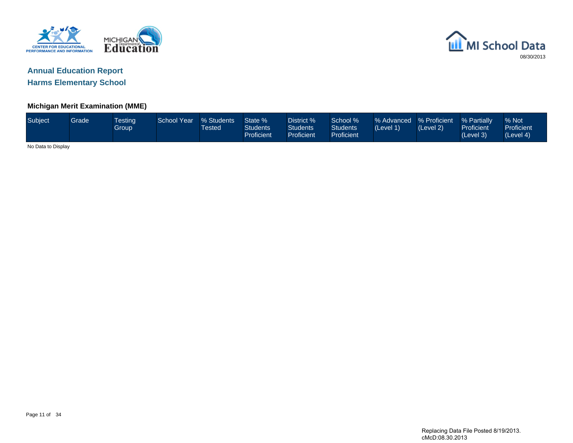



### **Michigan Merit Examination (MME)**

| Subject            | Grade <sup>1</sup> | <b>Testing</b><br>Group | <b>School Year</b> | % Students<br><b>Tested</b> | State %<br><b>Students</b><br><b>Proficient</b> | District %<br>Students<br><b>Proficient</b> | School %<br><b>Students</b><br>Proficient | % Advanced % Proficient<br>(Level 1) | (Level 2) | % Partially<br>Proficient<br>(Level 3) | % Not<br>Proficient<br>(Level 4) |
|--------------------|--------------------|-------------------------|--------------------|-----------------------------|-------------------------------------------------|---------------------------------------------|-------------------------------------------|--------------------------------------|-----------|----------------------------------------|----------------------------------|
| No Data to Display |                    |                         |                    |                             |                                                 |                                             |                                           |                                      |           |                                        |                                  |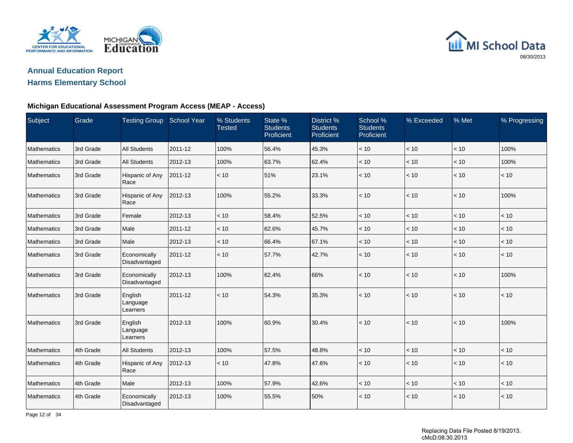



### **Michigan Educational Assessment Program Access (MEAP - Access)**

| Subject     | Grade     | <b>Testing Group</b>            | School Year | % Students<br><b>Tested</b> | State %<br><b>Students</b><br>Proficient | District %<br><b>Students</b><br>Proficient | School %<br><b>Students</b><br>Proficient | % Exceeded   | % Met | % Progressing |
|-------------|-----------|---------------------------------|-------------|-----------------------------|------------------------------------------|---------------------------------------------|-------------------------------------------|--------------|-------|---------------|
| Mathematics | 3rd Grade | <b>All Students</b>             | 2011-12     | 100%                        | 56.4%                                    | 45.3%                                       | < 10                                      | $<10\,$      | $<10$ | 100%          |
| Mathematics | 3rd Grade | <b>All Students</b>             | 2012-13     | 100%                        | 63.7%                                    | 62.4%                                       | < 10                                      | < 10         | < 10  | 100%          |
| Mathematics | 3rd Grade | Hispanic of Any<br>Race         | 2011-12     | < 10                        | 51%                                      | 23.1%                                       | < 10                                      | $ $ < 10     | $<10$ | < 10          |
| Mathematics | 3rd Grade | Hispanic of Any<br>Race         | 2012-13     | 100%                        | 55.2%                                    | 33.3%                                       | < 10                                      | $\vert$ < 10 | < 10  | 100%          |
| Mathematics | 3rd Grade | Female                          | 2012-13     | < 10                        | 58.4%                                    | 52.5%                                       | < 10                                      | $ $ < 10     | < 10  | < 10          |
| Mathematics | 3rd Grade | Male                            | 2011-12     | < 10                        | 62.6%                                    | 45.7%                                       | < 10                                      | < 10         | < 10  | < 10          |
| Mathematics | 3rd Grade | Male                            | 2012-13     | < 10                        | 66.4%                                    | 67.1%                                       | < 10                                      | < 10         | < 10  | < 10          |
| Mathematics | 3rd Grade | Economically<br>Disadvantaged   | 2011-12     | < 10                        | 57.7%                                    | 42.7%                                       | < 10                                      | $ $ < 10     | $<10$ | < 10          |
| Mathematics | 3rd Grade | Economically<br>Disadvantaged   | 2012-13     | 100%                        | 62.4%                                    | 66%                                         | < 10                                      | $ $ < 10     | $<10$ | 100%          |
| Mathematics | 3rd Grade | English<br>Language<br>Learners | 2011-12     | < 10                        | 54.3%                                    | 35.3%                                       | < 10                                      | $ $ < 10     | < 10  | < 10          |
| Mathematics | 3rd Grade | English<br>Language<br>Learners | 2012-13     | 100%                        | 60.9%                                    | 30.4%                                       | < 10                                      | $\vert$ < 10 | < 10  | 100%          |
| Mathematics | 4th Grade | <b>All Students</b>             | 2012-13     | 100%                        | 57.5%                                    | 48.8%                                       | < 10                                      | < 10         | < 10  | < 10          |
| Mathematics | 4th Grade | Hispanic of Any<br>Race         | 2012-13     | < 10                        | 47.8%                                    | 47.6%                                       | < 10                                      | < 10         | < 10  | < 10          |
| Mathematics | 4th Grade | Male                            | 2012-13     | 100%                        | 57.9%                                    | 42.6%                                       | < 10                                      | $<10\,$      | $<10$ | $<10$         |
| Mathematics | 4th Grade | Economically<br>Disadvantaged   | 2012-13     | 100%                        | 55.5%                                    | 50%                                         | < 10                                      | < 10         | < 10  | < 10          |

Page 12 of 34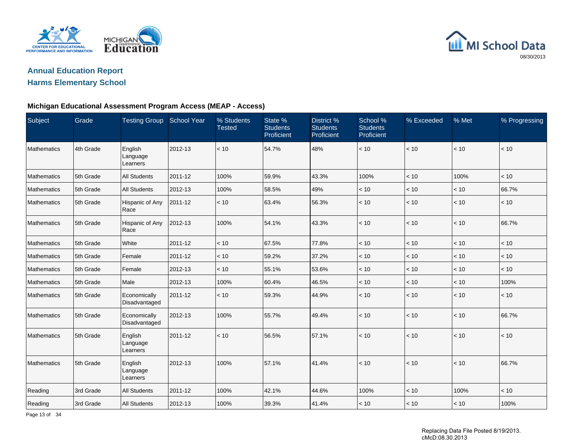



#### **Michigan Educational Assessment Program Access (MEAP - Access)**

| Subject            | Grade     | <b>Testing Group</b>            | School Year | % Students<br><b>Tested</b> | State %<br><b>Students</b><br>Proficient | District %<br><b>Students</b><br>Proficient | School %<br><b>Students</b><br>Proficient | % Exceeded | % Met | % Progressing |
|--------------------|-----------|---------------------------------|-------------|-----------------------------|------------------------------------------|---------------------------------------------|-------------------------------------------|------------|-------|---------------|
| Mathematics        | 4th Grade | English<br>Language<br>Learners | 2012-13     | < 10                        | 54.7%                                    | 48%                                         | < 10                                      | $<10$      | < 10  | $<10$         |
| Mathematics        | 5th Grade | <b>All Students</b>             | 2011-12     | 100%                        | 59.9%                                    | 43.3%                                       | 100%                                      | $<10$      | 100%  | $<10$         |
| <b>Mathematics</b> | 5th Grade | <b>All Students</b>             | 2012-13     | 100%                        | 58.5%                                    | 49%                                         | < 10                                      | < 10       | < 10  | 66.7%         |
| Mathematics        | 5th Grade | Hispanic of Any<br>Race         | 2011-12     | < 10                        | 63.4%                                    | 56.3%                                       | < 10                                      | < 10       | < 10  | < 10          |
| Mathematics        | 5th Grade | Hispanic of Any<br>Race         | 2012-13     | 100%                        | 54.1%                                    | 43.3%                                       | < 10                                      | $<10$      | < 10  | 66.7%         |
| Mathematics        | 5th Grade | White                           | 2011-12     | < 10                        | 67.5%                                    | 77.8%                                       | < 10                                      | < 10       | < 10  | < 10          |
| Mathematics        | 5th Grade | Female                          | 2011-12     | < 10                        | 59.2%                                    | 37.2%                                       | < 10                                      | < 10       | < 10  | < 10          |
| Mathematics        | 5th Grade | Female                          | 2012-13     | < 10                        | 55.1%                                    | 53.6%                                       | < 10                                      | < 10       | < 10  | < 10          |
| Mathematics        | 5th Grade | Male                            | 2012-13     | 100%                        | 60.4%                                    | 46.5%                                       | < 10                                      | < 10       | < 10  | 100%          |
| Mathematics        | 5th Grade | Economically<br>Disadvantaged   | 2011-12     | < 10                        | 59.3%                                    | 44.9%                                       | < 10                                      | < 10       | < 10  | < 10          |
| Mathematics        | 5th Grade | Economically<br>Disadvantaged   | 2012-13     | 100%                        | 55.7%                                    | 49.4%                                       | $<10$                                     | $<10$      | < 10  | 66.7%         |
| Mathematics        | 5th Grade | English<br>Language<br>Learners | 2011-12     | < 10                        | 56.5%                                    | 57.1%                                       | < 10                                      | < 10       | < 10  | < 10          |
| <b>Mathematics</b> | 5th Grade | English<br>Language<br>Learners | 2012-13     | 100%                        | 57.1%                                    | 41.4%                                       | < 10                                      | < 10       | < 10  | 66.7%         |
| Reading            | 3rd Grade | <b>All Students</b>             | 2011-12     | 100%                        | 42.1%                                    | 44.6%                                       | 100%                                      | < 10       | 100%  | < 10          |
| Reading            | 3rd Grade | <b>All Students</b>             | 2012-13     | 100%                        | 39.3%                                    | 41.4%                                       | < 10                                      | < 10       | < 10  | 100%          |

Page 13 of 34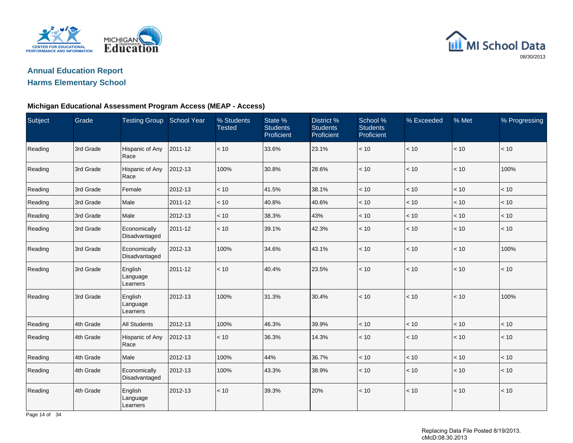



### **Michigan Educational Assessment Program Access (MEAP - Access)**

| Subject | Grade     | <b>Testing Group</b>            | <b>School Year</b> | % Students<br><b>Tested</b> | State %<br><b>Students</b><br>Proficient | District %<br><b>Students</b><br>Proficient | School %<br><b>Students</b><br>Proficient | % Exceeded | % Met | % Progressing |
|---------|-----------|---------------------------------|--------------------|-----------------------------|------------------------------------------|---------------------------------------------|-------------------------------------------|------------|-------|---------------|
| Reading | 3rd Grade | Hispanic of Any<br>Race         | 2011-12            | < 10                        | 33.6%                                    | 23.1%                                       | < 10                                      | < 10       | < 10  | < 10          |
| Reading | 3rd Grade | Hispanic of Any<br>Race         | 2012-13            | 100%                        | 30.8%                                    | 28.6%                                       | < 10                                      | < 10       | < 10  | 100%          |
| Reading | 3rd Grade | Female                          | 2012-13            | < 10                        | 41.5%                                    | 38.1%                                       | < 10                                      | < 10       | < 10  | < 10          |
| Reading | 3rd Grade | Male                            | 2011-12            | < 10                        | 40.8%                                    | 40.6%                                       | < 10                                      | < 10       | < 10  | < 10          |
| Reading | 3rd Grade | Male                            | 2012-13            | $<10$                       | 38.3%                                    | 43%                                         | $<10\,$                                   | $<10\,$    | < 10  | $<10$         |
| Reading | 3rd Grade | Economically<br>Disadvantaged   | 2011-12            | < 10                        | 39.1%                                    | 42.3%                                       | < 10                                      | < 10       | < 10  | < 10          |
| Reading | 3rd Grade | Economically<br>Disadvantaged   | 2012-13            | 100%                        | 34.6%                                    | 43.1%                                       | < 10                                      | < 10       | < 10  | 100%          |
| Reading | 3rd Grade | English<br>Language<br>Learners | 2011-12            | < 10                        | 40.4%                                    | 23.5%                                       | $<10$                                     | < 10       | < 10  | < 10          |
| Reading | 3rd Grade | English<br>Language<br>Learners | 2012-13            | 100%                        | 31.3%                                    | 30.4%                                       | < 10                                      | < 10       | < 10  | 100%          |
| Reading | 4th Grade | <b>All Students</b>             | 2012-13            | 100%                        | 46.3%                                    | 39.9%                                       | $<10$                                     | $<10$      | < 10  | < 10          |
| Reading | 4th Grade | Hispanic of Any<br>Race         | 2012-13            | < 10                        | 36.3%                                    | 14.3%                                       | < 10                                      | < 10       | < 10  | < 10          |
| Reading | 4th Grade | Male                            | 2012-13            | 100%                        | 44%                                      | 36.7%                                       | < 10                                      | < 10       | < 10  | < 10          |
| Reading | 4th Grade | Economically<br>Disadvantaged   | 2012-13            | 100%                        | 43.3%                                    | 38.9%                                       | < 10                                      | < 10       | < 10  | $<10$         |
| Reading | 4th Grade | English<br>Language<br>Learners | 2012-13            | < 10                        | 39.3%                                    | 20%                                         | < 10                                      | < 10       | < 10  | < 10          |

Page 14 of 34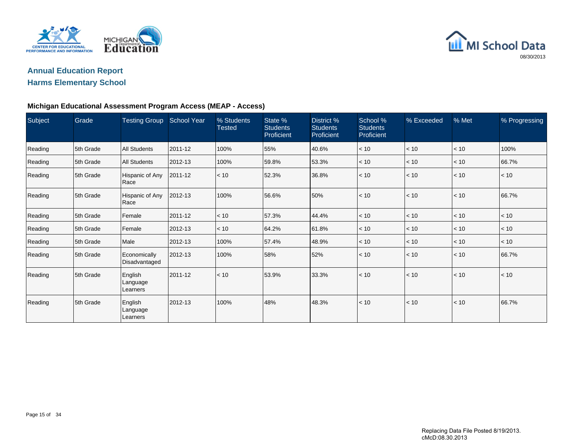



## **Michigan Educational Assessment Program Access (MEAP - Access)**

| Subject | Grade     | Testing Group School Year       |         | % Students<br><b>Tested</b> | State %<br><b>Students</b><br>Proficient | District %<br><b>Students</b><br>Proficient | School %<br><b>Students</b><br>Proficient | % Exceeded | % Met | % Progressing |
|---------|-----------|---------------------------------|---------|-----------------------------|------------------------------------------|---------------------------------------------|-------------------------------------------|------------|-------|---------------|
| Reading | 5th Grade | <b>All Students</b>             | 2011-12 | 100%                        | 55%                                      | 40.6%                                       | < 10                                      | < 10       | < 10  | 100%          |
| Reading | 5th Grade | All Students                    | 2012-13 | 100%                        | 59.8%                                    | 53.3%                                       | < 10                                      | < 10       | < 10  | 66.7%         |
| Reading | 5th Grade | Hispanic of Any<br>Race         | 2011-12 | < 10                        | 52.3%                                    | 36.8%                                       | < 10                                      | < 10       | < 10  | < 10          |
| Reading | 5th Grade | Hispanic of Any<br>Race         | 2012-13 | 100%                        | 56.6%                                    | 50%                                         | < 10                                      | < 10       | < 10  | 66.7%         |
| Reading | 5th Grade | Female                          | 2011-12 | < 10                        | 57.3%                                    | 44.4%                                       | < 10                                      | < 10       | < 10  | < 10          |
| Reading | 5th Grade | Female                          | 2012-13 | < 10                        | 64.2%                                    | 61.8%                                       | < 10                                      | < 10       | < 10  | < 10          |
| Reading | 5th Grade | Male                            | 2012-13 | 100%                        | 57.4%                                    | 48.9%                                       | < 10                                      | < 10       | < 10  | < 10          |
| Reading | 5th Grade | Economically<br>Disadvantaged   | 2012-13 | 100%                        | 58%                                      | 52%                                         | < 10                                      | < 10       | < 10  | 66.7%         |
| Reading | 5th Grade | English<br>Language<br>Learners | 2011-12 | < 10                        | 53.9%                                    | 33.3%                                       | < 10                                      | < 10       | < 10  | < 10          |
| Reading | 5th Grade | English<br>Language<br>Learners | 2012-13 | 100%                        | 48%                                      | 48.3%                                       | < 10                                      | < 10       | < 10  | 66.7%         |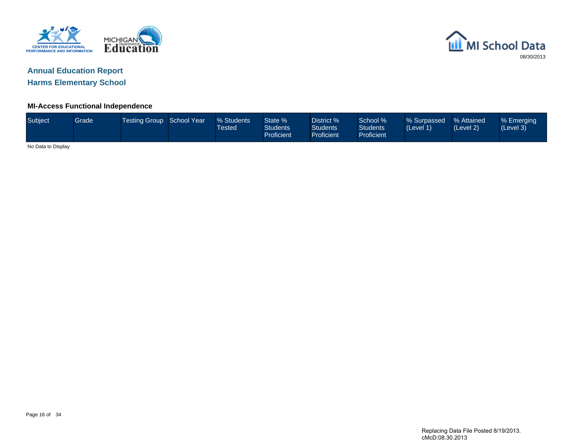



### **MI-Access Functional Independence**

| Subject            | Grade <sup>1</sup> | Testing Group School Year \ | % Students<br>Tested | State %<br><b>Students</b><br>Proficient | District %<br><b>Students</b><br>Proficient | School %<br><b>Students</b><br><b>Proficient</b> | % Surpassed<br>(Level 1) | <b>1% Attained</b><br>(Level 2) | % Emerging<br>(Level 3)' |
|--------------------|--------------------|-----------------------------|----------------------|------------------------------------------|---------------------------------------------|--------------------------------------------------|--------------------------|---------------------------------|--------------------------|
| No Data to Display |                    |                             |                      |                                          |                                             |                                                  |                          |                                 |                          |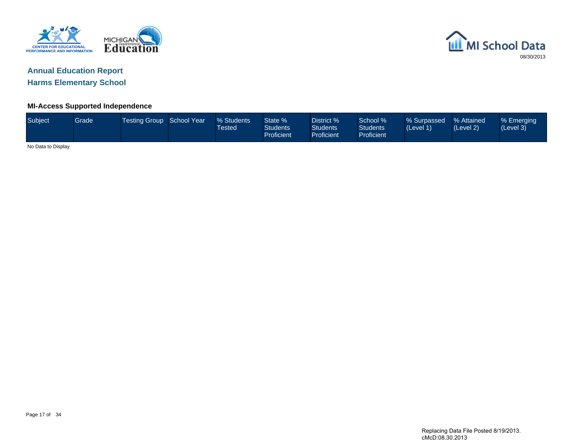



# **Annual Education Report**

**Harms Elementary School**

## **MI-Access Supported Independence**

| Subject            | Grade | Testing Group School Year | % Students<br><b>Tested</b> | State %<br><b>Students</b><br>Proficient | District %<br><b>Students</b><br><b>Proficient</b> | School %<br><b>Students</b><br>Proficient | % Surpassed<br>(Level 1) | % Attained<br>(Level 2) | % Emerging<br>(Level 3) |
|--------------------|-------|---------------------------|-----------------------------|------------------------------------------|----------------------------------------------------|-------------------------------------------|--------------------------|-------------------------|-------------------------|
| No Data to Display |       |                           |                             |                                          |                                                    |                                           |                          |                         |                         |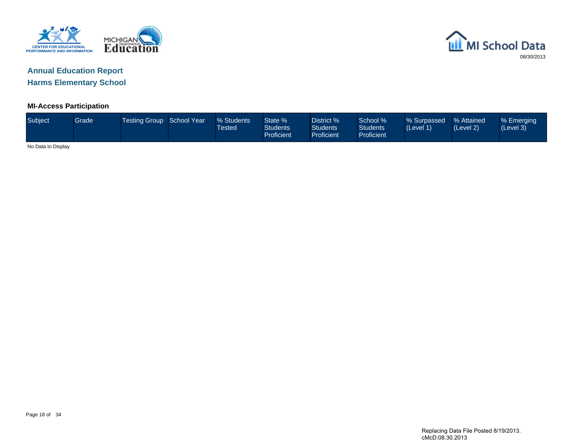



### **MI-Access Participation**

| Subject            | Grade <sup>1</sup> | Testing Group School Year | % Students<br><b>Tested</b> | State %<br><b>Students</b><br>Proficient | District %<br><b>Students</b><br>Proficient | School %<br><b>Students</b><br>Proficient | % Surpassed<br>(Level 1) | % Attained<br>(Level 2) | % Emerging<br>(Level 3) |
|--------------------|--------------------|---------------------------|-----------------------------|------------------------------------------|---------------------------------------------|-------------------------------------------|--------------------------|-------------------------|-------------------------|
| No Data to Display |                    |                           |                             |                                          |                                             |                                           |                          |                         |                         |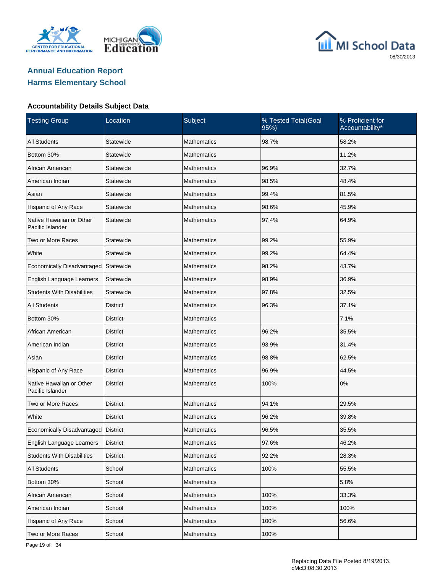





| <b>Testing Group</b>                         | Location        | Subject            | % Tested Total(Goal<br>95%) | % Proficient for<br>Accountability* |
|----------------------------------------------|-----------------|--------------------|-----------------------------|-------------------------------------|
| <b>All Students</b>                          | Statewide       | <b>Mathematics</b> | 98.7%                       | 58.2%                               |
| Bottom 30%                                   | Statewide       | Mathematics        |                             | 11.2%                               |
| African American                             | Statewide       | Mathematics        | 96.9%                       | 32.7%                               |
| American Indian                              | Statewide       | Mathematics        | 98.5%                       | 48.4%                               |
| Asian                                        | Statewide       | Mathematics        | 99.4%                       | 81.5%                               |
| Hispanic of Any Race                         | Statewide       | Mathematics        | 98.6%                       | 45.9%                               |
| Native Hawaiian or Other<br>Pacific Islander | Statewide       | Mathematics        | 97.4%                       | 64.9%                               |
| Two or More Races                            | Statewide       | <b>Mathematics</b> | 99.2%                       | 55.9%                               |
| White                                        | Statewide       | <b>Mathematics</b> | 99.2%                       | 64.4%                               |
| Economically Disadvantaged                   | Statewide       | <b>Mathematics</b> | 98.2%                       | 43.7%                               |
| English Language Learners                    | Statewide       | <b>Mathematics</b> | 98.9%                       | 36.9%                               |
| <b>Students With Disabilities</b>            | Statewide       | <b>Mathematics</b> | 97.8%                       | 32.5%                               |
| <b>All Students</b>                          | <b>District</b> | <b>Mathematics</b> | 96.3%                       | 37.1%                               |
| Bottom 30%                                   | <b>District</b> | <b>Mathematics</b> |                             | 7.1%                                |
| African American                             | <b>District</b> | <b>Mathematics</b> | 96.2%                       | 35.5%                               |
| American Indian                              | <b>District</b> | <b>Mathematics</b> | 93.9%                       | 31.4%                               |
| Asian                                        | <b>District</b> | <b>Mathematics</b> | 98.8%                       | 62.5%                               |
| Hispanic of Any Race                         | <b>District</b> | <b>Mathematics</b> | 96.9%                       | 44.5%                               |
| Native Hawaiian or Other<br>Pacific Islander | <b>District</b> | <b>Mathematics</b> | 100%                        | 0%                                  |
| Two or More Races                            | <b>District</b> | <b>Mathematics</b> | 94.1%                       | 29.5%                               |
| White                                        | <b>District</b> | <b>Mathematics</b> | 96.2%                       | 39.8%                               |
| Economically Disadvantaged   District        |                 | <b>Mathematics</b> | 96.5%                       | 35.5%                               |
| English Language Learners                    | <b>District</b> | Mathematics        | 97.6%                       | 46.2%                               |
| <b>Students With Disabilities</b>            | <b>District</b> | Mathematics        | 92.2%                       | 28.3%                               |
| All Students                                 | School          | <b>Mathematics</b> | 100%                        | 55.5%                               |
| Bottom 30%                                   | School          | Mathematics        |                             | 5.8%                                |
| African American                             | School          | <b>Mathematics</b> | 100%                        | 33.3%                               |
| American Indian                              | School          | Mathematics        | 100%                        | 100%                                |
| Hispanic of Any Race                         | School          | <b>Mathematics</b> | 100%                        | 56.6%                               |
| Two or More Races                            | School          | Mathematics        | 100%                        |                                     |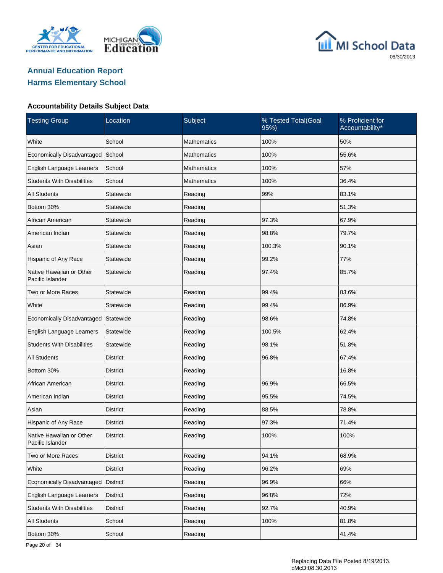





| <b>Testing Group</b>                         | Location        | Subject            | % Tested Total(Goal<br>95%) | % Proficient for<br>Accountability* |
|----------------------------------------------|-----------------|--------------------|-----------------------------|-------------------------------------|
| White                                        | School          | Mathematics        | 100%                        | 50%                                 |
| <b>Economically Disadvantaged</b>            | School          | <b>Mathematics</b> | 100%                        | 55.6%                               |
| English Language Learners                    | School          | Mathematics        | 100%                        | 57%                                 |
| <b>Students With Disabilities</b>            | School          | <b>Mathematics</b> | 100%                        | 36.4%                               |
| <b>All Students</b>                          | Statewide       | Reading            | 99%                         | 83.1%                               |
| Bottom 30%                                   | Statewide       | Reading            |                             | 51.3%                               |
| African American                             | Statewide       | Reading            | 97.3%                       | 67.9%                               |
| American Indian                              | Statewide       | Reading            | 98.8%                       | 79.7%                               |
| Asian                                        | Statewide       | Reading            | 100.3%                      | 90.1%                               |
| Hispanic of Any Race                         | Statewide       | Reading            | 99.2%                       | 77%                                 |
| Native Hawaiian or Other<br>Pacific Islander | Statewide       | Reading            | 97.4%                       | 85.7%                               |
| Two or More Races                            | Statewide       | Reading            | 99.4%                       | 83.6%                               |
| White                                        | Statewide       | Reading            | 99.4%                       | 86.9%                               |
| Economically Disadvantaged                   | Statewide       | Reading            | 98.6%                       | 74.8%                               |
| English Language Learners                    | Statewide       | Reading            | 100.5%                      | 62.4%                               |
| <b>Students With Disabilities</b>            | Statewide       | Reading            | 98.1%                       | 51.8%                               |
| <b>All Students</b>                          | District        | Reading            | 96.8%                       | 67.4%                               |
| Bottom 30%                                   | <b>District</b> | Reading            |                             | 16.8%                               |
| African American                             | District        | Reading            | 96.9%                       | 66.5%                               |
| American Indian                              | <b>District</b> | Reading            | 95.5%                       | 74.5%                               |
| Asian                                        | <b>District</b> | Reading            | 88.5%                       | 78.8%                               |
| Hispanic of Any Race                         | <b>District</b> | Reading            | 97.3%                       | 71.4%                               |
| Native Hawaiian or Other<br>Pacific Islander | District        | Reading            | 100%                        | 100%                                |
| Two or More Races                            | <b>District</b> | Reading            | 94.1%                       | 68.9%                               |
| White                                        | <b>District</b> | Reading            | 96.2%                       | 69%                                 |
| Economically Disadvantaged                   | <b>District</b> | Reading            | 96.9%                       | 66%                                 |
| English Language Learners                    | <b>District</b> | Reading            | 96.8%                       | 72%                                 |
| <b>Students With Disabilities</b>            | <b>District</b> | Reading            | 92.7%                       | 40.9%                               |
| All Students                                 | School          | Reading            | 100%                        | 81.8%                               |
| Bottom 30%                                   | School          | Reading            |                             | 41.4%                               |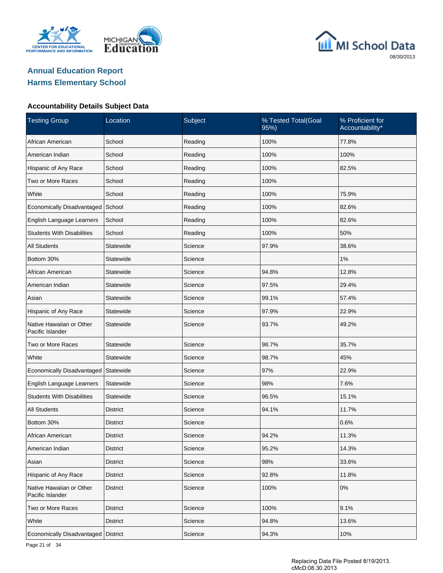





| <b>Testing Group</b>                         | Location        | Subject | % Tested Total(Goal<br>95%) | % Proficient for<br>Accountability* |
|----------------------------------------------|-----------------|---------|-----------------------------|-------------------------------------|
| African American                             | School          | Reading | 100%                        | 77.8%                               |
| American Indian                              | School          | Reading | 100%                        | 100%                                |
| Hispanic of Any Race                         | School          | Reading | 100%                        | 82.5%                               |
| Two or More Races                            | School          | Reading | 100%                        |                                     |
| White                                        | School          | Reading | 100%                        | 75.9%                               |
| Economically Disadvantaged                   | School          | Reading | 100%                        | 82.6%                               |
| English Language Learners                    | School          | Reading | 100%                        | 82.6%                               |
| <b>Students With Disabilities</b>            | School          | Reading | 100%                        | 50%                                 |
| <b>All Students</b>                          | Statewide       | Science | 97.9%                       | 38.6%                               |
| Bottom 30%                                   | Statewide       | Science |                             | 1%                                  |
| African American                             | Statewide       | Science | 94.8%                       | 12.8%                               |
| American Indian                              | Statewide       | Science | 97.5%                       | 29.4%                               |
| Asian                                        | Statewide       | Science | 99.1%                       | 57.4%                               |
| Hispanic of Any Race                         | Statewide       | Science | 97.9%                       | 22.9%                               |
| Native Hawaiian or Other<br>Pacific Islander | Statewide       | Science | 93.7%                       | 49.2%                               |
| Two or More Races                            | Statewide       | Science | 98.7%                       | 35.7%                               |
| White                                        | Statewide       | Science | 98.7%                       | 45%                                 |
| Economically Disadvantaged                   | Statewide       | Science | 97%                         | 22.9%                               |
| English Language Learners                    | Statewide       | Science | 98%                         | 7.6%                                |
| <b>Students With Disabilities</b>            | Statewide       | Science | 96.5%                       | 15.1%                               |
| <b>All Students</b>                          | District        | Science | 94.1%                       | 11.7%                               |
| Bottom 30%                                   | <b>District</b> | Science |                             | 0.6%                                |
| African American                             | <b>District</b> | Science | 94.2%                       | 11.3%                               |
| American Indian                              | District        | Science | 95.2%                       | 14.3%                               |
| Asian                                        | <b>District</b> | Science | 98%                         | 33.6%                               |
| Hispanic of Any Race                         | <b>District</b> | Science | 92.8%                       | 11.8%                               |
| Native Hawaiian or Other<br>Pacific Islander | <b>District</b> | Science | 100%                        | $0\%$                               |
| Two or More Races                            | <b>District</b> | Science | 100%                        | 9.1%                                |
| White                                        | <b>District</b> | Science | 94.8%                       | 13.6%                               |
| Economically Disadvantaged                   | District        | Science | 94.3%                       | 10%                                 |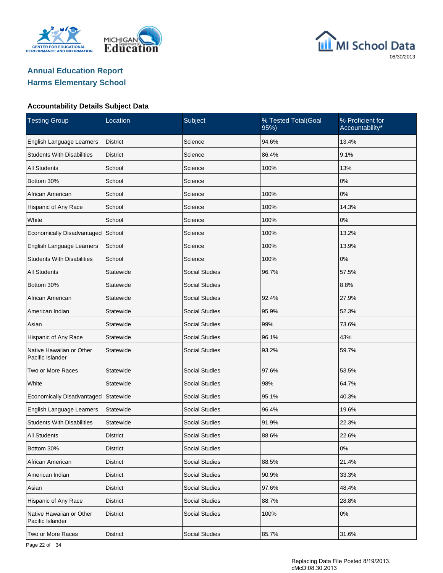





| <b>Testing Group</b>                         | Location        | Subject               | % Tested Total(Goal<br>95%) | % Proficient for<br>Accountability* |
|----------------------------------------------|-----------------|-----------------------|-----------------------------|-------------------------------------|
| English Language Learners                    | <b>District</b> | Science               | 94.6%                       | 13.4%                               |
| <b>Students With Disabilities</b>            | <b>District</b> | Science               | 86.4%                       | 9.1%                                |
| <b>All Students</b>                          | School          | Science               | 100%                        | 13%                                 |
| Bottom 30%                                   | School          | Science               |                             | 0%                                  |
| African American                             | School          | Science               | 100%                        | 0%                                  |
| Hispanic of Any Race                         | School          | Science               | 100%                        | 14.3%                               |
| White                                        | School          | Science               | 100%                        | 0%                                  |
| Economically Disadvantaged                   | School          | Science               | 100%                        | 13.2%                               |
| English Language Learners                    | School          | Science               | 100%                        | 13.9%                               |
| <b>Students With Disabilities</b>            | School          | Science               | 100%                        | 0%                                  |
| <b>All Students</b>                          | Statewide       | <b>Social Studies</b> | 96.7%                       | 57.5%                               |
| Bottom 30%                                   | Statewide       | <b>Social Studies</b> |                             | 8.8%                                |
| African American                             | Statewide       | <b>Social Studies</b> | 92.4%                       | 27.9%                               |
| American Indian                              | Statewide       | <b>Social Studies</b> | 95.9%                       | 52.3%                               |
| Asian                                        | Statewide       | <b>Social Studies</b> | 99%                         | 73.6%                               |
| Hispanic of Any Race                         | Statewide       | <b>Social Studies</b> | 96.1%                       | 43%                                 |
| Native Hawaiian or Other<br>Pacific Islander | Statewide       | <b>Social Studies</b> | 93.2%                       | 59.7%                               |
| Two or More Races                            | Statewide       | <b>Social Studies</b> | 97.6%                       | 53.5%                               |
| White                                        | Statewide       | Social Studies        | 98%                         | 64.7%                               |
| Economically Disadvantaged                   | Statewide       | Social Studies        | 95.1%                       | 40.3%                               |
| English Language Learners                    | Statewide       | <b>Social Studies</b> | 96.4%                       | 19.6%                               |
| <b>Students With Disabilities</b>            | Statewide       | <b>Social Studies</b> | 91.9%                       | 22.3%                               |
| <b>All Students</b>                          | District        | Social Studies        | 88.6%                       | 22.6%                               |
| Bottom 30%                                   | <b>District</b> | Social Studies        |                             | 0%                                  |
| African American                             | <b>District</b> | Social Studies        | 88.5%                       | 21.4%                               |
| American Indian                              | <b>District</b> | Social Studies        | 90.9%                       | 33.3%                               |
| Asian                                        | <b>District</b> | <b>Social Studies</b> | 97.6%                       | 48.4%                               |
| Hispanic of Any Race                         | <b>District</b> | Social Studies        | 88.7%                       | 28.8%                               |
| Native Hawaiian or Other<br>Pacific Islander | <b>District</b> | Social Studies        | 100%                        | $0\%$                               |
| Two or More Races                            | <b>District</b> | <b>Social Studies</b> | 85.7%                       | 31.6%                               |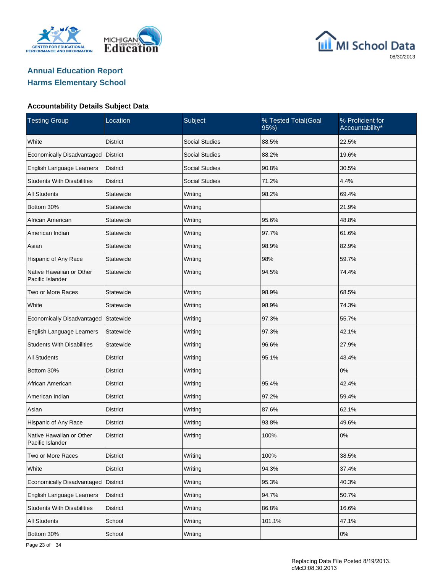





| <b>Testing Group</b>                         | Location        | Subject               | % Tested Total(Goal<br>95%) | % Proficient for<br>Accountability* |
|----------------------------------------------|-----------------|-----------------------|-----------------------------|-------------------------------------|
| White                                        | <b>District</b> | <b>Social Studies</b> | 88.5%                       | 22.5%                               |
| Economically Disadvantaged                   | <b>District</b> | <b>Social Studies</b> | 88.2%                       | 19.6%                               |
| English Language Learners                    | <b>District</b> | <b>Social Studies</b> | 90.8%                       | 30.5%                               |
| <b>Students With Disabilities</b>            | <b>District</b> | <b>Social Studies</b> | 71.2%                       | 4.4%                                |
| <b>All Students</b>                          | Statewide       | Writing               | 98.2%                       | 69.4%                               |
| Bottom 30%                                   | Statewide       | Writing               |                             | 21.9%                               |
| African American                             | Statewide       | Writing               | 95.6%                       | 48.8%                               |
| American Indian                              | Statewide       | Writing               | 97.7%                       | 61.6%                               |
| Asian                                        | Statewide       | Writing               | 98.9%                       | 82.9%                               |
| Hispanic of Any Race                         | Statewide       | Writing               | 98%                         | 59.7%                               |
| Native Hawaiian or Other<br>Pacific Islander | Statewide       | Writing               | 94.5%                       | 74.4%                               |
| Two or More Races                            | Statewide       | Writing               | 98.9%                       | 68.5%                               |
| White                                        | Statewide       | Writing               | 98.9%                       | 74.3%                               |
| Economically Disadvantaged                   | Statewide       | Writing               | 97.3%                       | 55.7%                               |
| English Language Learners                    | Statewide       | Writing               | 97.3%                       | 42.1%                               |
| <b>Students With Disabilities</b>            | Statewide       | Writing               | 96.6%                       | 27.9%                               |
| <b>All Students</b>                          | District        | Writing               | 95.1%                       | 43.4%                               |
| Bottom 30%                                   | <b>District</b> | Writing               |                             | 0%                                  |
| African American                             | District        | Writing               | 95.4%                       | 42.4%                               |
| American Indian                              | District        | Writing               | 97.2%                       | 59.4%                               |
| Asian                                        | District        | Writing               | 87.6%                       | 62.1%                               |
| Hispanic of Any Race                         | District        | Writing               | 93.8%                       | 49.6%                               |
| Native Hawaiian or Other<br>Pacific Islander | <b>District</b> | Writing               | 100%                        | 0%                                  |
| Two or More Races                            | <b>District</b> | Writing               | 100%                        | 38.5%                               |
| White                                        | <b>District</b> | Writing               | 94.3%                       | 37.4%                               |
| Economically Disadvantaged                   | <b>District</b> | Writing               | 95.3%                       | 40.3%                               |
| English Language Learners                    | <b>District</b> | Writing               | 94.7%                       | 50.7%                               |
| <b>Students With Disabilities</b>            | <b>District</b> | Writing               | 86.8%                       | 16.6%                               |
| All Students                                 | School          | Writing               | 101.1%                      | 47.1%                               |
| Bottom 30%                                   | School          | Writing               |                             | 0%                                  |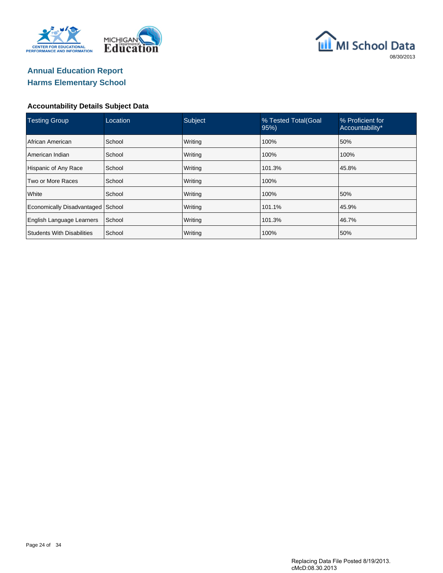





| <b>Testing Group</b>              | Location | Subject | % Tested Total(Goal<br>95% | % Proficient for<br>Accountability* |
|-----------------------------------|----------|---------|----------------------------|-------------------------------------|
| African American                  | School   | Writing | 100%                       | 50%                                 |
| American Indian                   | School   | Writing | 100%                       | 100%                                |
| Hispanic of Any Race              | School   | Writing | 101.3%                     | 45.8%                               |
| Two or More Races                 | School   | Writing | 100%                       |                                     |
| White                             | School   | Writing | 100%                       | 50%                                 |
| Economically Disadvantaged School |          | Writing | 101.1%                     | 45.9%                               |
| English Language Learners         | School   | Writing | 101.3%                     | 46.7%                               |
| <b>Students With Disabilities</b> | School   | Writing | 100%                       | 50%                                 |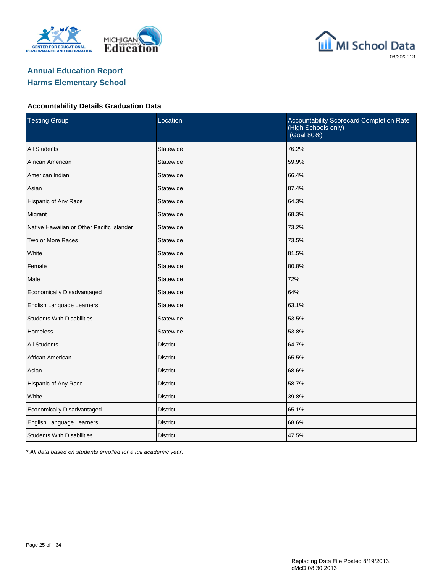





#### **Accountability Details Graduation Data**

| <b>Testing Group</b>                      | Location        | Accountability Scorecard Completion Rate<br>(High Schools only)<br>(Goal 80%) |
|-------------------------------------------|-----------------|-------------------------------------------------------------------------------|
| <b>All Students</b>                       | Statewide       | 76.2%                                                                         |
| African American                          | Statewide       | 59.9%                                                                         |
| American Indian                           | Statewide       | 66.4%                                                                         |
| Asian                                     | Statewide       | 87.4%                                                                         |
| Hispanic of Any Race                      | Statewide       | 64.3%                                                                         |
| Migrant                                   | Statewide       | 68.3%                                                                         |
| Native Hawaiian or Other Pacific Islander | Statewide       | 73.2%                                                                         |
| Two or More Races                         | Statewide       | 73.5%                                                                         |
| White                                     | Statewide       | 81.5%                                                                         |
| Female                                    | Statewide       | 80.8%                                                                         |
| Male                                      | Statewide       | 72%                                                                           |
| Economically Disadvantaged                | Statewide       | 64%                                                                           |
| English Language Learners                 | Statewide       | 63.1%                                                                         |
| <b>Students With Disabilities</b>         | Statewide       | 53.5%                                                                         |
| Homeless                                  | Statewide       | 53.8%                                                                         |
| <b>All Students</b>                       | <b>District</b> | 64.7%                                                                         |
| African American                          | <b>District</b> | 65.5%                                                                         |
| Asian                                     | <b>District</b> | 68.6%                                                                         |
| Hispanic of Any Race                      | <b>District</b> | 58.7%                                                                         |
| White                                     | <b>District</b> | 39.8%                                                                         |
| Economically Disadvantaged                | <b>District</b> | 65.1%                                                                         |
| English Language Learners                 | <b>District</b> | 68.6%                                                                         |
| <b>Students With Disabilities</b>         | <b>District</b> | 47.5%                                                                         |

\* All data based on students enrolled for a full academic year.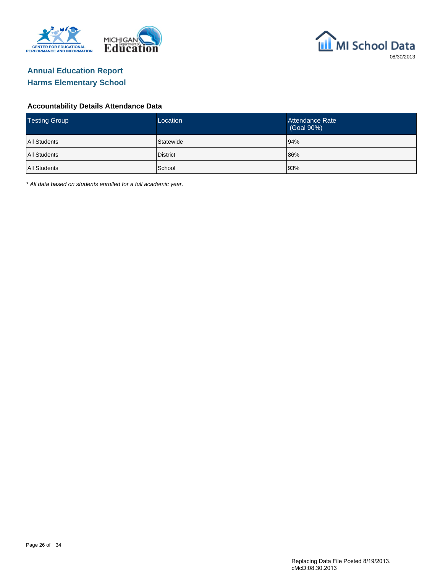



#### **Accountability Details Attendance Data**

| <b>Testing Group</b> | Location  | Attendance Rate<br>(Goal 90%) |
|----------------------|-----------|-------------------------------|
| <b>All Students</b>  | Statewide | 94%                           |
| <b>All Students</b>  | District  | 86%                           |
| <b>All Students</b>  | School    | 93%                           |

\* All data based on students enrolled for a full academic year.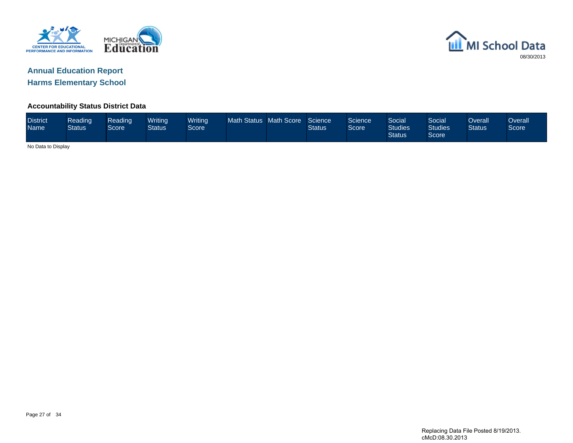



### **Accountability Status District Data**

| <b>District</b><br><b>Name</b> | Reading<br><b>Status</b> | Reading <sup>1</sup><br>Score | Writing<br>Status | <b>Writing</b><br>Score <sup>1</sup> | Math Status Math Score | Science<br><b>Status</b> | Science<br>Score <sup>1</sup> | Social<br><b>Studies</b><br><b>Status</b> | Social<br><b>Studies</b><br>Score | Overall'<br><b>Status</b> | Overall<br>Score |
|--------------------------------|--------------------------|-------------------------------|-------------------|--------------------------------------|------------------------|--------------------------|-------------------------------|-------------------------------------------|-----------------------------------|---------------------------|------------------|
| No Data to Display             |                          |                               |                   |                                      |                        |                          |                               |                                           |                                   |                           |                  |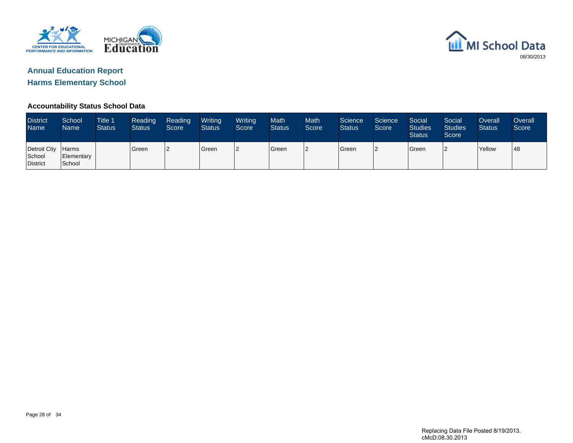



### **Accountability Status School Data**

| <b>District</b><br><b>Name</b>     | School<br>Name                       | <b>Title 1</b><br><b>Status</b> | Reading<br><b>Status</b> | Reading<br>Score | Writing<br><b>Status</b> | Writing<br>Score | <b>Math</b><br><b>Status</b> | <b>Math</b><br>Score | Science<br><b>Status</b> | Science<br>Score | Social<br><b>Studies</b><br><b>Status</b> | Social<br><b>Studies</b><br>Score | Overall<br><b>Status</b> | Overall<br>Score |
|------------------------------------|--------------------------------------|---------------------------------|--------------------------|------------------|--------------------------|------------------|------------------------------|----------------------|--------------------------|------------------|-------------------------------------------|-----------------------------------|--------------------------|------------------|
| Detroit City<br>School<br>District | <b>Harms</b><br>Elementary<br>School |                                 | Green                    |                  | <b>Green</b>             | 12               | Green                        | l2                   | Green                    |                  | <b>Green</b>                              |                                   | <b>Yellow</b>            | '48              |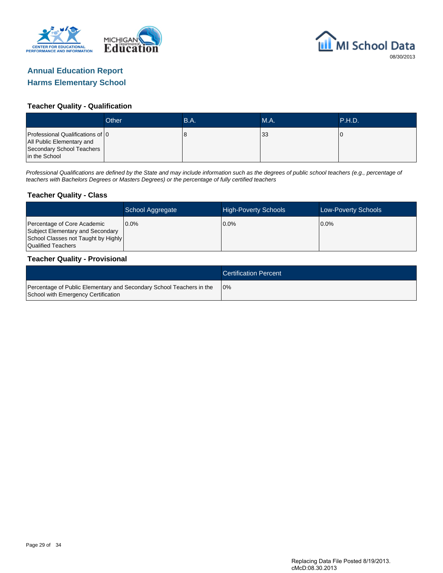



#### **Teacher Quality - Qualification**

|                                                                                                             | Other | B.A. | <b>M.A.</b> | <b>NP.H.D.</b> |
|-------------------------------------------------------------------------------------------------------------|-------|------|-------------|----------------|
| Professional Qualifications of 0<br>All Public Elementary and<br>Secondary School Teachers<br>in the School |       | o    | 33          |                |

Professional Qualifications are defined by the State and may include information such as the degrees of public school teachers (e.g., percentage of teachers with Bachelors Degrees or Masters Degrees) or the percentage of fully certified teachers

#### **Teacher Quality - Class**

|                                                                                                                              | School Aggregate | <b>High-Poverty Schools</b> | <b>Low-Poverty Schools</b> |
|------------------------------------------------------------------------------------------------------------------------------|------------------|-----------------------------|----------------------------|
| Percentage of Core Academic<br>Subject Elementary and Secondary<br>School Classes not Taught by Highly<br>Qualified Teachers | $0.0\%$          | $0.0\%$                     | $0.0\%$                    |

#### **Teacher Quality - Provisional**

|                                                                                                             | <b>Certification Percent</b> |
|-------------------------------------------------------------------------------------------------------------|------------------------------|
| Percentage of Public Elementary and Secondary School Teachers in the<br>School with Emergency Certification | 10%                          |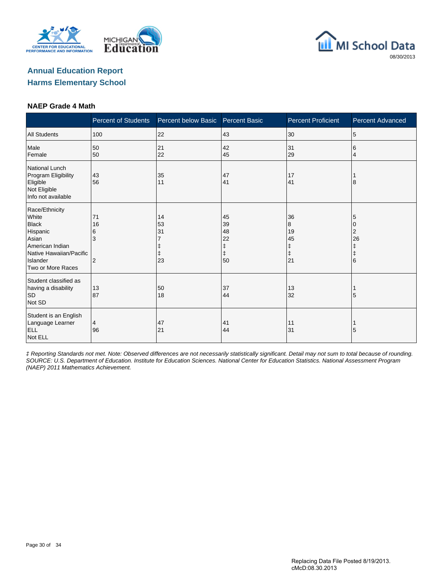





#### **NAEP Grade 4 Math**

|                                                                                                                                             | <b>Percent of Students</b> | Percent below Basic                     | <b>Percent Basic</b>                                   | <b>Percent Proficient</b>           | <b>Percent Advanced</b>                    |
|---------------------------------------------------------------------------------------------------------------------------------------------|----------------------------|-----------------------------------------|--------------------------------------------------------|-------------------------------------|--------------------------------------------|
| <b>All Students</b>                                                                                                                         | 100                        | 22                                      | 43                                                     | 30                                  | 5                                          |
| Male<br>Female                                                                                                                              | 50<br>50                   | 21<br>22                                | 42<br>45                                               | 31<br>29                            | 6<br>$\overline{4}$                        |
| National Lunch<br>Program Eligibility<br>Eligible<br>Not Eligible<br>Info not available                                                     | 43<br>56                   | 35<br>11                                | 47<br>41                                               | 17<br>41                            | 8                                          |
| Race/Ethnicity<br>White<br><b>Black</b><br>Hispanic<br>Asian<br>American Indian<br>Native Hawaiian/Pacific<br>Islander<br>Two or More Races | 71<br>16<br>6<br>3<br>2    | 14<br>53<br>31<br>ŧ<br>$\ddagger$<br>23 | 45<br>39<br>48<br>22<br>$\ddagger$<br>$\ddagger$<br>50 | 36<br>8<br>19<br>45<br>ŧ<br>ŧ<br>21 | 5<br>10<br>2<br>26<br>ŧ<br>$\ddagger$<br>6 |
| Student classified as<br>having a disability<br><b>SD</b><br>Not SD                                                                         | 13<br>87                   | 50<br>18                                | 37<br>44                                               | 13<br>32                            | 5                                          |
| Student is an English<br>Language Learner<br><b>ELL</b><br>Not ELL                                                                          | 4<br>96                    | 47<br>21                                | 41<br>44                                               | 11<br>31                            | 5                                          |

‡ Reporting Standards not met. Note: Observed differences are not necessarily statistically significant. Detail may not sum to total because of rounding. SOURCE: U.S. Department of Education. Institute for Education Sciences. National Center for Education Statistics. National Assessment Program (NAEP) 2011 Mathematics Achievement.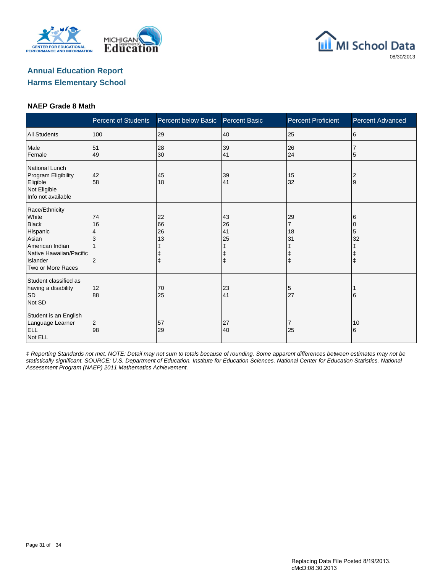





#### **NAEP Grade 8 Math**

|                                                                                                                                             | <b>Percent of Students</b>      | Percent below Basic                     | <b>Percent Basic</b> | <b>Percent Proficient</b>                   | <b>Percent Advanced</b>      |
|---------------------------------------------------------------------------------------------------------------------------------------------|---------------------------------|-----------------------------------------|----------------------|---------------------------------------------|------------------------------|
| <b>All Students</b>                                                                                                                         | 100                             | 29                                      | 40                   | 25                                          | 6                            |
| Male<br>Female                                                                                                                              | 51<br>49                        | 28<br>30                                | 39<br>41             | 26<br>24                                    | 5                            |
| National Lunch<br>Program Eligibility<br>Eligible<br>Not Eligible<br>Info not available                                                     | 42<br>58                        | 45<br>18                                | 39<br>41             | 15<br>32                                    | 2<br>Ι9                      |
| Race/Ethnicity<br>White<br><b>Black</b><br>Hispanic<br>Asian<br>American Indian<br>Native Hawaiian/Pacific<br>Islander<br>Two or More Races | 74<br>16<br>4<br>$\overline{2}$ | 22<br>66<br>26<br>13<br>ŧ<br>$\ddagger$ | 43<br>26<br>41<br>25 | 29<br>7<br>18<br>31<br>ŧ<br>ŧ<br>$\ddagger$ | 6<br>0<br>5<br>32<br>ŧ<br>ı‡ |
| Student classified as<br>having a disability<br>SD<br>Not SD                                                                                | 12<br>88                        | 70<br>25                                | 23<br>41             | 5<br>27                                     | 16                           |
| Student is an English<br>Language Learner<br><b>ELL</b><br>Not ELL                                                                          | $\overline{2}$<br>98            | 57<br>29                                | 27<br>40             | 7<br>25                                     | 10<br>6                      |

‡ Reporting Standards not met. NOTE: Detail may not sum to totals because of rounding. Some apparent differences between estimates may not be statistically significant. SOURCE: U.S. Department of Education. Institute for Education Sciences. National Center for Education Statistics. National Assessment Program (NAEP) 2011 Mathematics Achievement.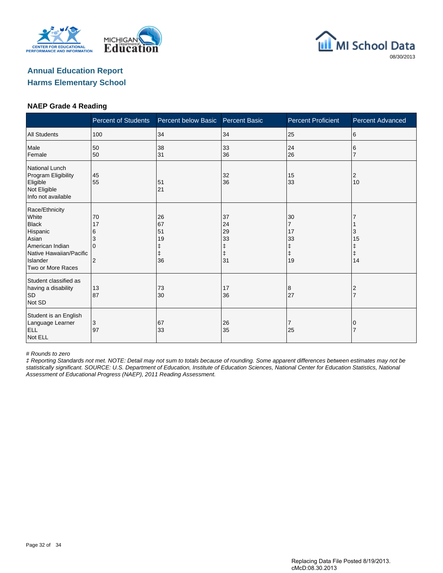





#### **NAEP Grade 4 Reading**

|                                                                                                                                             | <b>Percent of Students</b>                       | Percent below Basic        | <b>Percent Basic</b>                                                                  | <b>Percent Proficient</b>                                 | <b>Percent Advanced</b>          |
|---------------------------------------------------------------------------------------------------------------------------------------------|--------------------------------------------------|----------------------------|---------------------------------------------------------------------------------------|-----------------------------------------------------------|----------------------------------|
| <b>All Students</b>                                                                                                                         | 100                                              | 34                         | 34                                                                                    | 25                                                        | 6                                |
| Male<br>Female                                                                                                                              | 50<br>50                                         | 38<br>31                   | 33<br>36                                                                              | 24<br>26                                                  | 6                                |
| <b>National Lunch</b><br>Program Eligibility<br>Eligible<br>Not Eligible<br>Info not available                                              | 45<br>55                                         | 51<br>21                   | 32<br>36                                                                              | 15<br>33                                                  | 2<br>10                          |
| Race/Ethnicity<br>White<br><b>Black</b><br>Hispanic<br>Asian<br>American Indian<br>Native Hawaiian/Pacific<br>Islander<br>Two or More Races | 70<br>17<br>6<br>3<br>$\Omega$<br>$\overline{2}$ | 26<br>67<br>51<br>19<br>36 | 37<br>24<br>29<br>33<br>$\begin{array}{c} \texttt{+} \\ \texttt{+} \end{array}$<br>31 | 30<br>$\overline{7}$<br>17<br>33<br>ŧ<br>$\ddagger$<br>19 | 3<br>15<br>Ŧ<br>$\ddagger$<br>14 |
| Student classified as<br>having a disability<br><b>SD</b><br>Not SD                                                                         | 13<br>87                                         | 73<br>30                   | 17<br>36                                                                              | 8<br>27                                                   | 2                                |
| Student is an English<br>Language Learner<br><b>ELL</b><br>Not ELL                                                                          | 3<br>97                                          | 67<br>33                   | 26<br>35                                                                              | 7<br>25                                                   |                                  |

# Rounds to zero

‡ Reporting Standards not met. NOTE: Detail may not sum to totals because of rounding. Some apparent differences between estimates may not be statistically significant. SOURCE: U.S. Department of Education, Institute of Education Sciences, National Center for Education Statistics, National Assessment of Educational Progress (NAEP), 2011 Reading Assessment.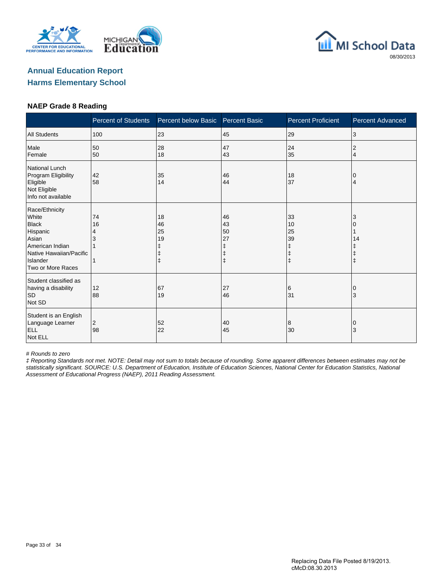





#### **NAEP Grade 8 Reading**

|                                                                                                                                             | <b>Percent of Students</b> | Percent below Basic  | <b>Percent Basic</b>      | <b>Percent Proficient</b>                             | <b>Percent Advanced</b> |
|---------------------------------------------------------------------------------------------------------------------------------------------|----------------------------|----------------------|---------------------------|-------------------------------------------------------|-------------------------|
| <b>All Students</b>                                                                                                                         | 100                        | 23                   | 45                        | 29                                                    | 3                       |
| Male<br>Female                                                                                                                              | 50<br>50                   | 28<br>18             | 47<br>43                  | 24<br>35                                              | 2<br>4                  |
| National Lunch<br>Program Eligibility<br>Eligible<br>Not Eligible<br>Info not available                                                     | 42<br>58                   | 35<br>14             | 46<br>44                  | 18<br>37                                              | 0<br>4                  |
| Race/Ethnicity<br>White<br><b>Black</b><br>Hispanic<br>Asian<br>American Indian<br>Native Hawaiian/Pacific<br>Islander<br>Two or More Races | 74<br>16<br>4              | 18<br>46<br>25<br>19 | 46<br>43<br>50<br>27<br>ŧ | 33<br>10<br>25<br>39<br>ŧ<br>$\ddagger$<br>$\ddagger$ | 3<br>14<br>$\ddagger$   |
| Student classified as<br>having a disability<br><b>SD</b><br>Not SD                                                                         | 12<br>88                   | 67<br>19             | 27<br>46                  | 6<br>31                                               | 0<br>3                  |
| Student is an English<br>Language Learner<br><b>ELL</b><br>Not ELL                                                                          | 2<br>98                    | 52<br>22             | 40<br>45                  | 8<br>30                                               | 0<br>3                  |

# Rounds to zero

‡ Reporting Standards not met. NOTE: Detail may not sum to totals because of rounding. Some apparent differences between estimates may not be statistically significant. SOURCE: U.S. Department of Education, Institute of Education Sciences, National Center for Education Statistics, National Assessment of Educational Progress (NAEP), 2011 Reading Assessment.